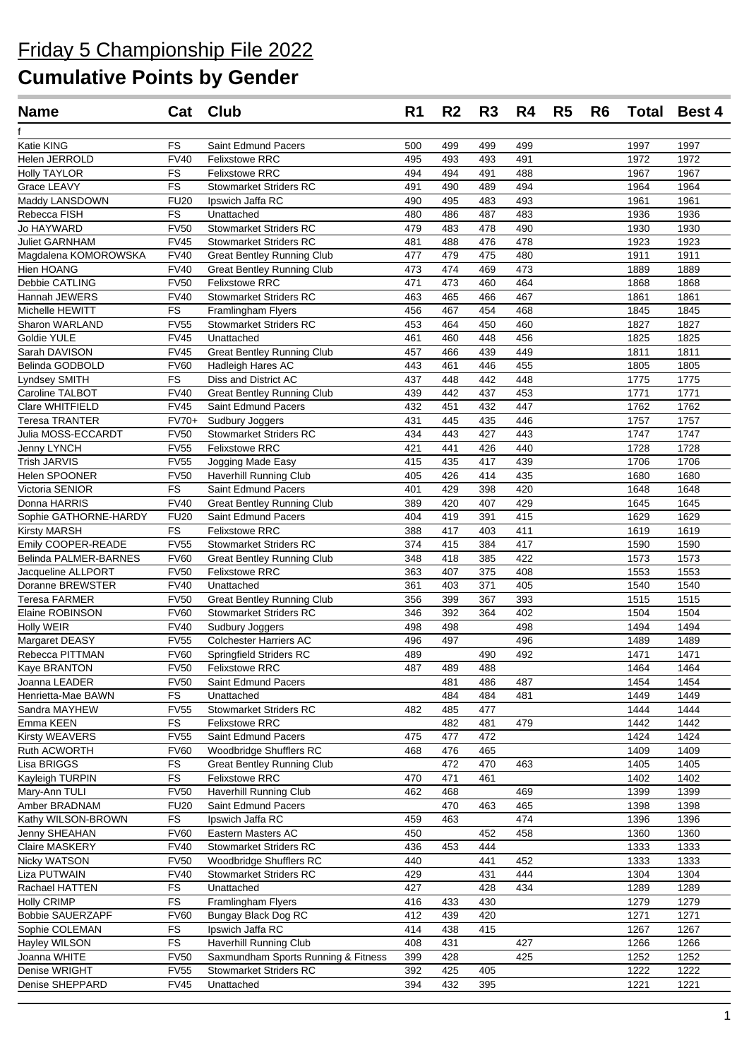| <b>Name</b>                      |                            | Cat Club                                                  | R <sub>1</sub> | R <sub>2</sub> | R <sub>3</sub> | R4         | R <sub>5</sub> | R <sub>6</sub> |              | <b>Total Best 4</b> |
|----------------------------------|----------------------------|-----------------------------------------------------------|----------------|----------------|----------------|------------|----------------|----------------|--------------|---------------------|
|                                  |                            |                                                           |                |                |                |            |                |                |              |                     |
| Katie KING                       | FS                         | Saint Edmund Pacers                                       | 500            | 499            | 499            | 499        |                |                | 1997         | 1997                |
| Helen JERROLD                    | <b>FV40</b>                | <b>Felixstowe RRC</b>                                     | 495            | 493            | 493            | 491        |                |                | 1972         | 1972                |
| <b>Holly TAYLOR</b>              | FS                         | <b>Felixstowe RRC</b>                                     | 494            | 494            | 491            | 488        |                |                | 1967         | 1967                |
| Grace LEAVY                      | FS                         | <b>Stowmarket Striders RC</b>                             | 491            | 490            | 489            | 494        |                |                | 1964         | 1964                |
| Maddy LANSDOWN                   | <b>FU20</b>                | Ipswich Jaffa RC                                          | 490            | 495            | 483            | 493        |                |                | 1961         | 1961                |
| Rebecca FISH                     | <b>FS</b>                  | Unattached                                                | 480            | 486            | 487            | 483        |                |                | 1936         | 1936                |
| Jo HAYWARD                       | <b>FV50</b>                | <b>Stowmarket Striders RC</b>                             | 479            | 483            | 478            | 490        |                |                | 1930         | 1930                |
| <b>Juliet GARNHAM</b>            | <b>FV45</b>                | <b>Stowmarket Striders RC</b>                             | 481            | 488            | 476            | 478        |                |                | 1923         | 1923                |
| Magdalena KOMOROWSKA             | <b>FV40</b>                | <b>Great Bentley Running Club</b>                         | 477            | 479            | 475            | 480        |                |                | 1911         | 1911                |
| Hien HOANG                       | <b>FV40</b>                | <b>Great Bentley Running Club</b>                         | 473            | 474            | 469            | 473        |                |                | 1889         | 1889                |
| Debbie CATLING                   | <b>FV50</b>                | <b>Felixstowe RRC</b>                                     | 471            | 473            | 460            | 464        |                |                | 1868         | 1868                |
| Hannah JEWERS                    | <b>FV40</b>                | <b>Stowmarket Striders RC</b>                             | 463            | 465            | 466            | 467        |                |                | 1861         | 1861                |
| Michelle HEWITT                  | <b>FS</b>                  | Framlingham Flyers                                        | 456            | 467            | 454            | 468        |                |                | 1845         | 1845                |
| Sharon WARLAND                   | <b>FV55</b>                | <b>Stowmarket Striders RC</b>                             | 453            | 464            | 450            | 460        |                |                | 1827         | 1827                |
| Goldie YULE<br>Sarah DAVISON     | <b>FV45</b><br><b>FV45</b> | Unattached                                                | 461<br>457     | 460<br>466     | 448<br>439     | 456<br>449 |                |                | 1825<br>1811 | 1825<br>1811        |
|                                  |                            | <b>Great Bentley Running Club</b>                         |                |                |                |            |                |                |              |                     |
| Belinda GODBOLD                  | <b>FV60</b>                | Hadleigh Hares AC                                         | 443<br>437     | 461<br>448     | 446<br>442     | 455<br>448 |                |                | 1805         | 1805                |
| Lyndsey SMITH<br>Caroline TALBOT | FS<br><b>FV40</b>          | Diss and District AC<br><b>Great Bentley Running Club</b> | 439            | 442            | 437            | 453        |                |                | 1775<br>1771 | 1775<br>1771        |
| Clare WHITFIELD                  | <b>FV45</b>                | Saint Edmund Pacers                                       | 432            | 451            | 432            | 447        |                |                | 1762         | 1762                |
| Teresa TRANTER                   | FV70+                      | Sudbury Joggers                                           | 431            | 445            | 435            | 446        |                |                | 1757         | 1757                |
| Julia MOSS-ECCARDT               | <b>FV50</b>                | <b>Stowmarket Striders RC</b>                             | 434            | 443            | 427            | 443        |                |                | 1747         | 1747                |
| Jenny LYNCH                      | <b>FV55</b>                | <b>Felixstowe RRC</b>                                     | 421            | 441            | 426            | 440        |                |                | 1728         | 1728                |
| <b>Trish JARVIS</b>              | <b>FV55</b>                | Jogging Made Easy                                         | 415            | 435            | 417            | 439        |                |                | 1706         | 1706                |
| Helen SPOONER                    | <b>FV50</b>                | Haverhill Running Club                                    | 405            | 426            | 414            | 435        |                |                | 1680         | 1680                |
| Victoria SENIOR                  | FS                         | Saint Edmund Pacers                                       | 401            | 429            | 398            | 420        |                |                | 1648         | 1648                |
| Donna HARRIS                     | <b>FV40</b>                | <b>Great Bentley Running Club</b>                         | 389            | 420            | 407            | 429        |                |                | 1645         | 1645                |
| Sophie GATHORNE-HARDY            | <b>FU20</b>                | Saint Edmund Pacers                                       | 404            | 419            | 391            | 415        |                |                | 1629         | 1629                |
| <b>Kirsty MARSH</b>              | FS                         | <b>Felixstowe RRC</b>                                     | 388            | 417            | 403            | 411        |                |                | 1619         | 1619                |
| Emily COOPER-READE               | <b>FV55</b>                | <b>Stowmarket Striders RC</b>                             | 374            | 415            | 384            | 417        |                |                | 1590         | 1590                |
| Belinda PALMER-BARNES            | <b>FV60</b>                | <b>Great Bentley Running Club</b>                         | 348            | 418            | 385            | 422        |                |                | 1573         | 1573                |
| Jacqueline ALLPORT               | <b>FV50</b>                | <b>Felixstowe RRC</b>                                     | 363            | 407            | 375            | 408        |                |                | 1553         | 1553                |
| Doranne BREWSTER                 | <b>FV40</b>                | Unattached                                                | 361            | 403            | 371            | 405        |                |                | 1540         | 1540                |
| <b>Teresa FARMER</b>             | <b>FV50</b>                | <b>Great Bentley Running Club</b>                         | 356            | 399            | 367            | 393        |                |                | 1515         | 1515                |
| Elaine ROBINSON                  | <b>FV60</b>                | <b>Stowmarket Striders RC</b>                             | 346            | 392            | 364            | 402        |                |                | 1504         | 1504                |
| Holly WEIR                       | <b>FV40</b>                | Sudbury Joggers                                           | 498            | 498            |                | 498        |                |                | 1494         | 1494                |
| Margaret DEASY                   | <b>FV55</b>                | <b>Colchester Harriers AC</b>                             | 496            | 497            |                | 496        |                |                | 1489         | 1489                |
| Rebecca PITTMAN                  | <b>FV60</b>                | Springfield Striders RC                                   | 489            |                | 490            | 492        |                |                | 1471         | 1471                |
| <b>Kaye BRANTON</b>              |                            | FV50 Felixstowe RRC                                       | 487            | 489            | 488            |            |                |                | 1464         | 1464                |
| Joanna LEADER                    | <b>FV50</b>                | Saint Edmund Pacers                                       |                | 481            | 486            | 487        |                |                | 1454         | 1454                |
| Henrietta-Mae BAWN               | FS                         | Unattached                                                |                | 484            | 484            | 481        |                |                | 1449         | 1449                |
| Sandra MAYHEW                    | <b>FV55</b>                | <b>Stowmarket Striders RC</b>                             | 482            | 485            | 477            |            |                |                | 1444         | 1444                |
| Emma KEEN                        | <b>FS</b>                  | Felixstowe RRC                                            |                | 482            | 481            | 479        |                |                | 1442         | 1442                |
| Kirsty WEAVERS                   | <b>FV55</b>                | Saint Edmund Pacers                                       | 475            | 477            | 472            |            |                |                | 1424         | 1424                |
| Ruth ACWORTH                     | <b>FV60</b>                | Woodbridge Shufflers RC                                   | 468            | 476            | 465            |            |                |                | 1409         | 1409                |
| Lisa BRIGGS                      | FS                         | <b>Great Bentley Running Club</b>                         |                | 472            | 470            | 463        |                |                | 1405         | 1405                |
| Kayleigh TURPIN                  | <b>FS</b>                  | Felixstowe RRC                                            | 470            | 471            | 461            |            |                |                | 1402         | 1402                |
| Mary-Ann TULI                    | <b>FV50</b>                | Haverhill Running Club                                    | 462            | 468            |                | 469        |                |                | 1399         | 1399                |
| Amber BRADNAM                    | <b>FU20</b>                | Saint Edmund Pacers                                       |                | 470            | 463            | 465        |                |                | 1398         | 1398                |
| Kathy WILSON-BROWN               | <b>FS</b>                  | Ipswich Jaffa RC                                          | 459            | 463            |                | 474        |                |                | 1396         | 1396                |
| Jenny SHEAHAN                    | <b>FV60</b>                | Eastern Masters AC                                        | 450            |                | 452            | 458        |                |                | 1360         | 1360                |
| Claire MASKERY                   | <b>FV40</b>                | <b>Stowmarket Striders RC</b>                             | 436            | 453            | 444            |            |                |                | 1333         | 1333                |
| Nicky WATSON                     | <b>FV50</b>                | Woodbridge Shufflers RC                                   | 440            |                | 441            | 452        |                |                | 1333         | 1333                |
| Liza PUTWAIN                     | <b>FV40</b>                | <b>Stowmarket Striders RC</b>                             | 429            |                | 431            | 444        |                |                | 1304         | 1304                |
| Rachael HATTEN                   | FS                         | Unattached                                                | 427            |                | 428            | 434        |                |                | 1289         | 1289                |
| <b>Holly CRIMP</b>               | FS                         | <b>Framlingham Flyers</b>                                 | 416            | 433            | 430            |            |                |                | 1279         | 1279                |
| <b>Bobbie SAUERZAPF</b>          | <b>FV60</b>                | Bungay Black Dog RC                                       | 412            | 439            | 420            |            |                |                | 1271         | 1271                |
| Sophie COLEMAN                   | FS                         | Ipswich Jaffa RC                                          | 414            | 438            | 415            |            |                |                | 1267         | 1267                |
| Hayley WILSON                    | FS                         | Haverhill Running Club                                    | 408            | 431            |                | 427        |                |                | 1266         | 1266                |
| Joanna WHITE                     | <b>FV50</b>                | Saxmundham Sports Running & Fitness                       | 399            | 428            |                | 425        |                |                | 1252         | 1252                |
| Denise WRIGHT                    | <b>FV55</b>                | <b>Stowmarket Striders RC</b>                             | 392            | 425            | 405            |            |                |                | 1222         | 1222                |
| Denise SHEPPARD                  | <b>FV45</b>                | Unattached                                                | 394            | 432            | 395            |            |                |                | 1221         | 1221                |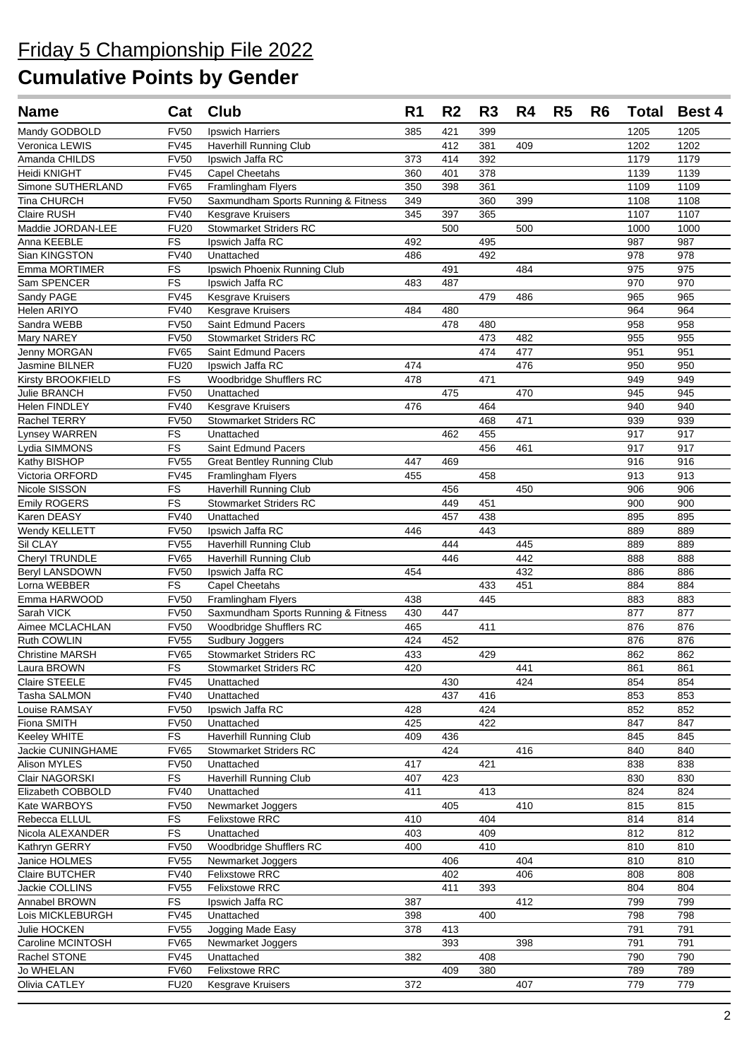| <b>Name</b>                       | Cat               | Club                                        | R <sub>1</sub> | R <sub>2</sub> | R <sub>3</sub> | R4  | R <sub>5</sub> | R <sub>6</sub> | <b>Total</b> | Best 4     |
|-----------------------------------|-------------------|---------------------------------------------|----------------|----------------|----------------|-----|----------------|----------------|--------------|------------|
| Mandy GODBOLD                     | <b>FV50</b>       | Ipswich Harriers                            | 385            | 421            | 399            |     |                |                | 1205         | 1205       |
| Veronica LEWIS                    | <b>FV45</b>       | <b>Haverhill Running Club</b>               |                | 412            | 381            | 409 |                |                | 1202         | 1202       |
| Amanda CHILDS                     | <b>FV50</b>       | Ipswich Jaffa RC                            | 373            | 414            | 392            |     |                |                | 1179         | 1179       |
| Heidi KNIGHT                      | <b>FV45</b>       | Capel Cheetahs                              | 360            | 401            | 378            |     |                |                | 1139         | 1139       |
| Simone SUTHERLAND                 | <b>FV65</b>       | <b>Framlingham Flyers</b>                   | 350            | 398            | 361            |     |                |                | 1109         | 1109       |
| Tina CHURCH                       | <b>FV50</b>       | Saxmundham Sports Running & Fitness         | 349            |                | 360            | 399 |                |                | 1108         | 1108       |
| <b>Claire RUSH</b>                | <b>FV40</b>       | <b>Kesgrave Kruisers</b>                    | 345            | 397            | 365            |     |                |                | 1107         | 1107       |
| Maddie JORDAN-LEE                 | <b>FU20</b>       | <b>Stowmarket Striders RC</b>               |                | 500            |                | 500 |                |                | 1000         | 1000       |
| Anna KEEBLE                       | FS                | Ipswich Jaffa RC                            | 492            |                | 495            |     |                |                | 987          | 987        |
| Sian KINGSTON                     | <b>FV40</b>       | Unattached                                  | 486            |                | 492            |     |                |                | 978          | 978        |
| Emma MORTIMER                     | FS                | Ipswich Phoenix Running Club                |                | 491            |                | 484 |                |                | 975          | 975        |
| Sam SPENCER                       | FS                | Ipswich Jaffa RC                            | 483            | 487            |                |     |                |                | 970          | 970        |
| Sandy PAGE                        | <b>FV45</b>       | <b>Kesgrave Kruisers</b>                    |                |                | 479            | 486 |                |                | 965          | 965        |
| Helen ARIYO                       | <b>FV40</b>       | Kesgrave Kruisers                           | 484            | 480            |                |     |                |                | 964          | 964        |
| Sandra WEBB                       | <b>FV50</b>       | Saint Edmund Pacers                         |                | 478            | 480            |     |                |                | 958          | 958        |
| Mary NAREY                        | <b>FV50</b>       | <b>Stowmarket Striders RC</b>               |                |                | 473            | 482 |                |                | 955          | 955        |
| Jenny MORGAN                      | <b>FV65</b>       | Saint Edmund Pacers                         |                |                | 474            | 477 |                |                | 951          | 951        |
| Jasmine BILNER                    | <b>FU20</b>       | Ipswich Jaffa RC                            | 474            |                |                | 476 |                |                | 950          | 950        |
| Kirsty BROOKFIELD                 | FS                | Woodbridge Shufflers RC                     | 478            |                | 471            |     |                |                | 949          | 949        |
| Julie BRANCH                      | <b>FV50</b>       | Unattached                                  |                | 475            |                | 470 |                |                | 945          | 945        |
| Helen FINDLEY                     | <b>FV40</b>       | <b>Kesgrave Kruisers</b>                    | 476            |                | 464            |     |                |                | 940          | 940        |
| Rachel TERRY                      | <b>FV50</b>       | <b>Stowmarket Striders RC</b>               |                |                | 468            | 471 |                |                | 939          | 939        |
| Lynsey WARREN                     | FS                | Unattached                                  |                | 462            | 455            |     |                |                | 917          | 917        |
| Lydia SIMMONS                     | FS                | Saint Edmund Pacers                         |                |                | 456            | 461 |                |                | 917          | 917        |
| Kathy BISHOP                      | <b>FV55</b>       | <b>Great Bentley Running Club</b>           | 447            | 469            |                |     |                |                | 916          | 916        |
| Victoria ORFORD                   | <b>FV45</b>       | Framlingham Flyers                          | 455            |                | 458            |     |                |                | 913          | 913        |
| Nicole SISSON                     | FS                | Haverhill Running Club                      |                | 456            |                | 450 |                |                | 906          | 906        |
| <b>Emily ROGERS</b>               | <b>FS</b>         | <b>Stowmarket Striders RC</b>               |                | 449            | 451            |     |                |                | 900          | 900        |
| Karen DEASY                       | <b>FV40</b>       | Unattached                                  |                | 457            | 438            |     |                |                | 895          | 895        |
| Wendy KELLETT                     | <b>FV50</b>       | Ipswich Jaffa RC                            | 446            |                | 443            |     |                |                | 889          | 889        |
| Sil CLAY                          | <b>FV55</b>       | Haverhill Running Club                      |                | 444            |                | 445 |                |                | 889          | 889        |
| Cheryl TRUNDLE                    | <b>FV65</b>       | Haverhill Running Club                      |                | 446            |                | 442 |                |                | 888          | 888        |
| <b>Beryl LANSDOWN</b>             | <b>FV50</b>       | Ipswich Jaffa RC                            | 454            |                |                | 432 |                |                | 886          | 886        |
| Lorna WEBBER                      | <b>FS</b>         | Capel Cheetahs                              |                |                | 433            | 451 |                |                | 884          | 884        |
| Emma HARWOOD                      | <b>FV50</b>       | <b>Framlingham Flyers</b>                   | 438            |                | 445            |     |                |                | 883          | 883        |
| Sarah VICK                        | <b>FV50</b>       | Saxmundham Sports Running & Fitness         | 430            | 447            |                |     |                |                | 877          | 877        |
| Aimee MCLACHLAN                   | <b>FV50</b>       | Woodbridge Shufflers RC                     | 465            |                | 411            |     |                |                | 876          | 876        |
| Ruth COWLIN                       | <b>FV55</b>       | <b>Sudbury Joggers</b>                      | 424            | 452            |                |     |                |                | 876          | 876        |
| <b>Christine MARSH</b>            | <b>FV65</b>       | <b>Stowmarket Striders RC</b>               | 433            |                | 429            |     |                |                | 862          | 862        |
| Laura BROWN                       | $\overline{FS}$   | Stowmarket Striders RC                      | 420            |                |                | 441 |                |                | 861          | 861        |
| Claire STEELE                     | <b>FV45</b>       | Unattached                                  |                | 430            |                | 424 |                |                | 854          | 854        |
| Tasha SALMON                      | <b>FV40</b>       | Unattached                                  |                | 437            | 416            |     |                |                | 853          | 853        |
| Louise RAMSAY                     | <b>FV50</b>       | Ipswich Jaffa RC                            | 428            |                | 424            |     |                |                | 852          | 852        |
| Fiona SMITH                       | <b>FV50</b>       | Unattached                                  | 425            |                | 422            |     |                |                | 847          | 847        |
| Keeley WHITE                      | <b>FS</b>         | Haverhill Running Club                      | 409            | 436            |                |     |                |                | 845          | 845        |
| Jackie CUNINGHAME                 | <b>FV65</b>       | <b>Stowmarket Striders RC</b>               |                | 424            | 421            | 416 |                |                | 840          | 840        |
| Alison MYLES                      | <b>FV50</b>       | Unattached                                  | 417            |                |                |     |                |                | 838          | 838        |
| Clair NAGORSKI                    | FS<br><b>FV40</b> | <b>Haverhill Running Club</b><br>Unattached | 407            | 423            |                |     |                |                | 830          | 830        |
| Elizabeth COBBOLD                 | <b>FV50</b>       |                                             | 411            | 405            | 413            | 410 |                |                | 824<br>815   | 824<br>815 |
| Kate WARBOYS<br>Rebecca ELLUL     | FS                | Newmarket Joggers<br>Felixstowe RRC         | 410            |                | 404            |     |                |                | 814          | 814        |
| Nicola ALEXANDER                  | <b>FS</b>         | Unattached                                  | 403            |                | 409            |     |                |                | 812          | 812        |
| Kathryn GERRY                     | <b>FV50</b>       | Woodbridge Shufflers RC                     | 400            |                | 410            |     |                |                | 810          | 810        |
| Janice HOLMES                     | <b>FV55</b>       | Newmarket Joggers                           |                | 406            |                | 404 |                |                | 810          | 810        |
| Claire BUTCHER                    | <b>FV40</b>       | Felixstowe RRC                              |                | 402            |                | 406 |                |                | 808          | 808        |
| Jackie COLLINS                    | <b>FV55</b>       | Felixstowe RRC                              |                | 411            | 393            |     |                |                | 804          | 804        |
|                                   | <b>FS</b>         |                                             |                |                |                | 412 |                |                | 799          |            |
| Annabel BROWN<br>Lois MICKLEBURGH | <b>FV45</b>       | Ipswich Jaffa RC<br>Unattached              | 387<br>398     |                | 400            |     |                |                | 798          | 799<br>798 |
| Julie HOCKEN                      | <b>FV55</b>       | Jogging Made Easy                           | 378            | 413            |                |     |                |                | 791          | 791        |
| Caroline MCINTOSH                 | <b>FV65</b>       | Newmarket Joggers                           |                | 393            |                | 398 |                |                | 791          | 791        |
| Rachel STONE                      | <b>FV45</b>       | Unattached                                  | 382            |                | 408            |     |                |                | 790          | 790        |
| Jo WHELAN                         | <b>FV60</b>       | Felixstowe RRC                              |                | 409            | 380            |     |                |                | 789          | 789        |
| Olivia CATLEY                     | <b>FU20</b>       | <b>Kesgrave Kruisers</b>                    | 372            |                |                | 407 |                |                | 779          | 779        |
|                                   |                   |                                             |                |                |                |     |                |                |              |            |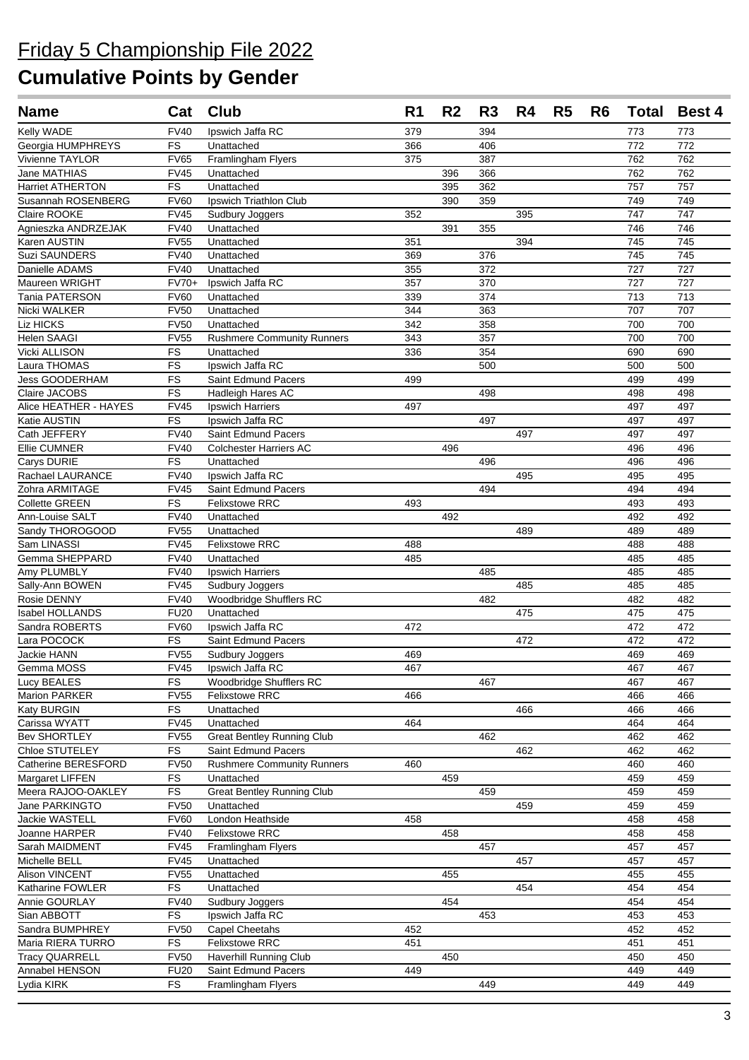| Kelly WADE<br><b>FV40</b><br>Ipswich Jaffa RC<br>379<br>394<br>773<br>773<br>FS<br>772<br>366<br>406<br>772<br>Unattached<br>387<br>762<br><b>FV65</b><br>Framlingham Flyers<br>375<br>762<br>Jane MATHIAS<br><b>FV45</b><br>Unattached<br>396<br>366<br>762<br>762<br><b>Harriet ATHERTON</b><br>FS<br>Unattached<br>395<br>362<br>757<br>757<br><b>FV60</b><br>390<br>359<br>749<br>749<br>Susannah ROSENBERG<br>Ipswich Triathlon Club<br>747<br>Claire ROOKE<br><b>FV45</b><br>352<br>395<br>747<br>Sudbury Joggers<br>746<br>Agnieszka ANDRZEJAK<br><b>FV40</b><br>Unattached<br>391<br>355<br>746<br>Karen AUSTIN<br><b>FV55</b><br>351<br>394<br>745<br>Unattached<br>745<br><b>FV40</b><br>745<br>Suzi SAUNDERS<br>Unattached<br>369<br>745<br>376<br><b>FV40</b><br>355<br>727<br>Danielle ADAMS<br>Unattached<br>372<br>727<br>357<br>370<br>727<br>727<br>Maureen WRIGHT<br>FV70+<br>Ipswich Jaffa RC<br>713<br>Tania PATERSON<br><b>FV60</b><br>339<br>374<br>713<br>Unattached<br>707<br>Nicki WALKER<br><b>FV50</b><br>344<br>363<br>707<br>Unattached<br>Liz HICKS<br><b>FV50</b><br>342<br>358<br>700<br>Unattached<br>700<br>Helen SAAGI<br><b>FV55</b><br>343<br>357<br>700<br><b>Rushmere Community Runners</b><br>700<br><b>FS</b><br>354<br>Vicki ALLISON<br>Unattached<br>336<br>690<br>690<br>Laura THOMAS<br>FS<br>500<br>500<br>Ipswich Jaffa RC<br>500<br>Jess GOODERHAM<br>FS<br>499<br>499<br>499<br>Saint Edmund Pacers<br>Claire JACOBS<br><b>FS</b><br>Hadleigh Hares AC<br>498<br>498<br>498<br><b>FV45</b><br>497<br>Alice HEATHER - HAYES<br><b>Ipswich Harriers</b><br>497<br>497<br>FS<br>497<br>497<br>497<br>Katie AUSTIN<br>Ipswich Jaffa RC<br>Cath JEFFERY<br><b>FV40</b><br><b>Saint Edmund Pacers</b><br>497<br>497<br>497<br><b>FV40</b><br>496<br><b>Ellie CUMNER</b><br><b>Colchester Harriers AC</b><br>496<br>496<br>Carys DURIE<br><b>FS</b><br>496<br>Unattached<br>496<br>496<br>Rachael LAURANCE<br><b>FV40</b><br>Ipswich Jaffa RC<br>495<br>495<br>495<br><b>FV45</b><br>Saint Edmund Pacers<br>Zohra ARMITAGE<br>494<br>494<br>494<br><b>FS</b><br><b>Felixstowe RRC</b><br>493<br>493<br>493<br><b>Collette GREEN</b><br><b>FV40</b><br>Unattached<br>492<br>492<br>492<br><b>FV55</b><br>489<br>489<br>489<br>Sandy THOROGOOD<br>Unattached<br>Sam LINASSI<br><b>FV45</b><br><b>Felixstowe RRC</b><br>488<br>488<br>488<br>Gemma SHEPPARD<br><b>FV40</b><br>Unattached<br>485<br>485<br>485<br><b>FV40</b><br>485<br>485<br>485<br>Amy PLUMBLY<br><b>Ipswich Harriers</b><br><b>FV45</b><br>485<br>485<br>485<br>Sally-Ann BOWEN<br>Sudbury Joggers<br><b>FV40</b><br>Woodbridge Shufflers RC<br>482<br>482<br>482<br>Rosie DENNY<br>Isabel HOLLANDS<br><b>FU20</b><br>Unattached<br>475<br>475<br>475<br>Sandra ROBERTS<br><b>FV60</b><br>Ipswich Jaffa RC<br>472<br>472<br>472<br><b>FS</b><br>Saint Edmund Pacers<br>Lara POCOCK<br>472<br>472<br>472<br><b>FV55</b><br>Jackie HANN<br>Sudbury Joggers<br>469<br>469<br>469<br>467<br>Gemma MOSS<br>FV45 Ipswich Jaffa RC<br>467<br>467<br>467<br>Lucy BEALES<br>FS<br>Woodbridge Shufflers RC<br>467<br>467<br>Marion PARKER<br><b>FV55</b><br>Felixstowe RRC<br>466<br>466<br>466<br>Katy BURGIN<br><b>FS</b><br>Unattached<br>466<br>466<br>466<br><b>FV45</b><br>Unattached<br>464<br>Carissa WYATT<br>464<br>464<br><b>Bev SHORTLEY</b><br><b>Great Bentley Running Club</b><br>462<br>462<br><b>FV55</b><br>462<br>FS<br>Chloe STUTELEY<br>Saint Edmund Pacers<br>462<br>462<br>462<br>Catherine BERESFORD<br><b>FV50</b><br><b>Rushmere Community Runners</b><br>460<br>460<br>460<br>Margaret LIFFEN<br>FS<br>Unattached<br>459<br>459<br>459<br><b>FS</b><br>459<br><b>Great Bentley Running Club</b><br>459<br>459<br><b>FV50</b><br>Unattached<br>459<br>459<br>459<br>458<br>Jackie WASTELL<br><b>FV60</b><br>London Heathside<br>458<br>458<br><b>FV40</b><br><b>Felixstowe RRC</b><br>458<br>458<br>Joanne HARPER<br>458<br>Sarah MAIDMENT<br><b>FV45</b><br>457<br>Framlingham Flyers<br>457<br>457<br>Unattached<br>457<br><b>FV45</b><br>457<br>457<br><b>FV55</b><br>Unattached<br>455<br>455<br>455<br>FS<br>454<br>454<br>454<br>Unattached<br><b>FV40</b><br>454<br>454<br>Sudbury Joggers<br>454<br>FS<br>Ipswich Jaffa RC<br>453<br>453<br>453<br>Sandra BUMPHREY<br>Capel Cheetahs<br>452<br><b>FV50</b><br>452<br>452<br><b>FS</b><br><b>Felixstowe RRC</b><br>451<br>451<br>451<br><b>FV50</b><br>Haverhill Running Club<br><b>Tracy QUARRELL</b><br>450<br>450<br>450<br>Annabel HENSON<br><b>FU20</b><br>Saint Edmund Pacers<br>449<br>449<br>449<br><b>FS</b><br>449<br>449<br>449<br>Lydia KIRK<br>Framlingham Flyers | <b>Name</b>        | Cat | <b>Club</b> | R <sub>1</sub> | R <sub>2</sub> | R <sub>3</sub> | R4 | R <sub>5</sub> | R <sub>6</sub> | <b>Total</b> | <b>Best 4</b> |
|-----------------------------------------------------------------------------------------------------------------------------------------------------------------------------------------------------------------------------------------------------------------------------------------------------------------------------------------------------------------------------------------------------------------------------------------------------------------------------------------------------------------------------------------------------------------------------------------------------------------------------------------------------------------------------------------------------------------------------------------------------------------------------------------------------------------------------------------------------------------------------------------------------------------------------------------------------------------------------------------------------------------------------------------------------------------------------------------------------------------------------------------------------------------------------------------------------------------------------------------------------------------------------------------------------------------------------------------------------------------------------------------------------------------------------------------------------------------------------------------------------------------------------------------------------------------------------------------------------------------------------------------------------------------------------------------------------------------------------------------------------------------------------------------------------------------------------------------------------------------------------------------------------------------------------------------------------------------------------------------------------------------------------------------------------------------------------------------------------------------------------------------------------------------------------------------------------------------------------------------------------------------------------------------------------------------------------------------------------------------------------------------------------------------------------------------------------------------------------------------------------------------------------------------------------------------------------------------------------------------------------------------------------------------------------------------------------------------------------------------------------------------------------------------------------------------------------------------------------------------------------------------------------------------------------------------------------------------------------------------------------------------------------------------------------------------------------------------------------------------------------------------------------------------------------------------------------------------------------------------------------------------------------------------------------------------------------------------------------------------------------------------------------------------------------------------------------------------------------------------------------------------------------------------------------------------------------------------------------------------------------------------------------------------------------------------------------------------------------------------------------------------------------------------------------------------------------------------------------------------------------------------------------------------------------------------------------------------------------------------------------------------------------------------------------------------------------------------------------------------------------------------------------------------------------------------------------------------------------------------------------------------------------------------------------------------------------------------------------------------------------------------------------------------------------------------------------------------------------------------------------------------------------------------------------------------------------------------------------------------------------------------------------------------|--------------------|-----|-------------|----------------|----------------|----------------|----|----------------|----------------|--------------|---------------|
|                                                                                                                                                                                                                                                                                                                                                                                                                                                                                                                                                                                                                                                                                                                                                                                                                                                                                                                                                                                                                                                                                                                                                                                                                                                                                                                                                                                                                                                                                                                                                                                                                                                                                                                                                                                                                                                                                                                                                                                                                                                                                                                                                                                                                                                                                                                                                                                                                                                                                                                                                                                                                                                                                                                                                                                                                                                                                                                                                                                                                                                                                                                                                                                                                                                                                                                                                                                                                                                                                                                                                                                                                                                                                                                                                                                                                                                                                                                                                                                                                                                                                                                                                                                                                                                                                                                                                                                                                                                                                                                                                                                                                                                                 |                    |     |             |                |                |                |    |                |                |              |               |
|                                                                                                                                                                                                                                                                                                                                                                                                                                                                                                                                                                                                                                                                                                                                                                                                                                                                                                                                                                                                                                                                                                                                                                                                                                                                                                                                                                                                                                                                                                                                                                                                                                                                                                                                                                                                                                                                                                                                                                                                                                                                                                                                                                                                                                                                                                                                                                                                                                                                                                                                                                                                                                                                                                                                                                                                                                                                                                                                                                                                                                                                                                                                                                                                                                                                                                                                                                                                                                                                                                                                                                                                                                                                                                                                                                                                                                                                                                                                                                                                                                                                                                                                                                                                                                                                                                                                                                                                                                                                                                                                                                                                                                                                 | Georgia HUMPHREYS  |     |             |                |                |                |    |                |                |              |               |
|                                                                                                                                                                                                                                                                                                                                                                                                                                                                                                                                                                                                                                                                                                                                                                                                                                                                                                                                                                                                                                                                                                                                                                                                                                                                                                                                                                                                                                                                                                                                                                                                                                                                                                                                                                                                                                                                                                                                                                                                                                                                                                                                                                                                                                                                                                                                                                                                                                                                                                                                                                                                                                                                                                                                                                                                                                                                                                                                                                                                                                                                                                                                                                                                                                                                                                                                                                                                                                                                                                                                                                                                                                                                                                                                                                                                                                                                                                                                                                                                                                                                                                                                                                                                                                                                                                                                                                                                                                                                                                                                                                                                                                                                 | Vivienne TAYLOR    |     |             |                |                |                |    |                |                |              |               |
|                                                                                                                                                                                                                                                                                                                                                                                                                                                                                                                                                                                                                                                                                                                                                                                                                                                                                                                                                                                                                                                                                                                                                                                                                                                                                                                                                                                                                                                                                                                                                                                                                                                                                                                                                                                                                                                                                                                                                                                                                                                                                                                                                                                                                                                                                                                                                                                                                                                                                                                                                                                                                                                                                                                                                                                                                                                                                                                                                                                                                                                                                                                                                                                                                                                                                                                                                                                                                                                                                                                                                                                                                                                                                                                                                                                                                                                                                                                                                                                                                                                                                                                                                                                                                                                                                                                                                                                                                                                                                                                                                                                                                                                                 |                    |     |             |                |                |                |    |                |                |              |               |
|                                                                                                                                                                                                                                                                                                                                                                                                                                                                                                                                                                                                                                                                                                                                                                                                                                                                                                                                                                                                                                                                                                                                                                                                                                                                                                                                                                                                                                                                                                                                                                                                                                                                                                                                                                                                                                                                                                                                                                                                                                                                                                                                                                                                                                                                                                                                                                                                                                                                                                                                                                                                                                                                                                                                                                                                                                                                                                                                                                                                                                                                                                                                                                                                                                                                                                                                                                                                                                                                                                                                                                                                                                                                                                                                                                                                                                                                                                                                                                                                                                                                                                                                                                                                                                                                                                                                                                                                                                                                                                                                                                                                                                                                 |                    |     |             |                |                |                |    |                |                |              |               |
|                                                                                                                                                                                                                                                                                                                                                                                                                                                                                                                                                                                                                                                                                                                                                                                                                                                                                                                                                                                                                                                                                                                                                                                                                                                                                                                                                                                                                                                                                                                                                                                                                                                                                                                                                                                                                                                                                                                                                                                                                                                                                                                                                                                                                                                                                                                                                                                                                                                                                                                                                                                                                                                                                                                                                                                                                                                                                                                                                                                                                                                                                                                                                                                                                                                                                                                                                                                                                                                                                                                                                                                                                                                                                                                                                                                                                                                                                                                                                                                                                                                                                                                                                                                                                                                                                                                                                                                                                                                                                                                                                                                                                                                                 |                    |     |             |                |                |                |    |                |                |              |               |
|                                                                                                                                                                                                                                                                                                                                                                                                                                                                                                                                                                                                                                                                                                                                                                                                                                                                                                                                                                                                                                                                                                                                                                                                                                                                                                                                                                                                                                                                                                                                                                                                                                                                                                                                                                                                                                                                                                                                                                                                                                                                                                                                                                                                                                                                                                                                                                                                                                                                                                                                                                                                                                                                                                                                                                                                                                                                                                                                                                                                                                                                                                                                                                                                                                                                                                                                                                                                                                                                                                                                                                                                                                                                                                                                                                                                                                                                                                                                                                                                                                                                                                                                                                                                                                                                                                                                                                                                                                                                                                                                                                                                                                                                 |                    |     |             |                |                |                |    |                |                |              |               |
|                                                                                                                                                                                                                                                                                                                                                                                                                                                                                                                                                                                                                                                                                                                                                                                                                                                                                                                                                                                                                                                                                                                                                                                                                                                                                                                                                                                                                                                                                                                                                                                                                                                                                                                                                                                                                                                                                                                                                                                                                                                                                                                                                                                                                                                                                                                                                                                                                                                                                                                                                                                                                                                                                                                                                                                                                                                                                                                                                                                                                                                                                                                                                                                                                                                                                                                                                                                                                                                                                                                                                                                                                                                                                                                                                                                                                                                                                                                                                                                                                                                                                                                                                                                                                                                                                                                                                                                                                                                                                                                                                                                                                                                                 |                    |     |             |                |                |                |    |                |                |              |               |
|                                                                                                                                                                                                                                                                                                                                                                                                                                                                                                                                                                                                                                                                                                                                                                                                                                                                                                                                                                                                                                                                                                                                                                                                                                                                                                                                                                                                                                                                                                                                                                                                                                                                                                                                                                                                                                                                                                                                                                                                                                                                                                                                                                                                                                                                                                                                                                                                                                                                                                                                                                                                                                                                                                                                                                                                                                                                                                                                                                                                                                                                                                                                                                                                                                                                                                                                                                                                                                                                                                                                                                                                                                                                                                                                                                                                                                                                                                                                                                                                                                                                                                                                                                                                                                                                                                                                                                                                                                                                                                                                                                                                                                                                 |                    |     |             |                |                |                |    |                |                |              |               |
|                                                                                                                                                                                                                                                                                                                                                                                                                                                                                                                                                                                                                                                                                                                                                                                                                                                                                                                                                                                                                                                                                                                                                                                                                                                                                                                                                                                                                                                                                                                                                                                                                                                                                                                                                                                                                                                                                                                                                                                                                                                                                                                                                                                                                                                                                                                                                                                                                                                                                                                                                                                                                                                                                                                                                                                                                                                                                                                                                                                                                                                                                                                                                                                                                                                                                                                                                                                                                                                                                                                                                                                                                                                                                                                                                                                                                                                                                                                                                                                                                                                                                                                                                                                                                                                                                                                                                                                                                                                                                                                                                                                                                                                                 |                    |     |             |                |                |                |    |                |                |              |               |
|                                                                                                                                                                                                                                                                                                                                                                                                                                                                                                                                                                                                                                                                                                                                                                                                                                                                                                                                                                                                                                                                                                                                                                                                                                                                                                                                                                                                                                                                                                                                                                                                                                                                                                                                                                                                                                                                                                                                                                                                                                                                                                                                                                                                                                                                                                                                                                                                                                                                                                                                                                                                                                                                                                                                                                                                                                                                                                                                                                                                                                                                                                                                                                                                                                                                                                                                                                                                                                                                                                                                                                                                                                                                                                                                                                                                                                                                                                                                                                                                                                                                                                                                                                                                                                                                                                                                                                                                                                                                                                                                                                                                                                                                 |                    |     |             |                |                |                |    |                |                |              |               |
|                                                                                                                                                                                                                                                                                                                                                                                                                                                                                                                                                                                                                                                                                                                                                                                                                                                                                                                                                                                                                                                                                                                                                                                                                                                                                                                                                                                                                                                                                                                                                                                                                                                                                                                                                                                                                                                                                                                                                                                                                                                                                                                                                                                                                                                                                                                                                                                                                                                                                                                                                                                                                                                                                                                                                                                                                                                                                                                                                                                                                                                                                                                                                                                                                                                                                                                                                                                                                                                                                                                                                                                                                                                                                                                                                                                                                                                                                                                                                                                                                                                                                                                                                                                                                                                                                                                                                                                                                                                                                                                                                                                                                                                                 |                    |     |             |                |                |                |    |                |                |              |               |
|                                                                                                                                                                                                                                                                                                                                                                                                                                                                                                                                                                                                                                                                                                                                                                                                                                                                                                                                                                                                                                                                                                                                                                                                                                                                                                                                                                                                                                                                                                                                                                                                                                                                                                                                                                                                                                                                                                                                                                                                                                                                                                                                                                                                                                                                                                                                                                                                                                                                                                                                                                                                                                                                                                                                                                                                                                                                                                                                                                                                                                                                                                                                                                                                                                                                                                                                                                                                                                                                                                                                                                                                                                                                                                                                                                                                                                                                                                                                                                                                                                                                                                                                                                                                                                                                                                                                                                                                                                                                                                                                                                                                                                                                 |                    |     |             |                |                |                |    |                |                |              |               |
|                                                                                                                                                                                                                                                                                                                                                                                                                                                                                                                                                                                                                                                                                                                                                                                                                                                                                                                                                                                                                                                                                                                                                                                                                                                                                                                                                                                                                                                                                                                                                                                                                                                                                                                                                                                                                                                                                                                                                                                                                                                                                                                                                                                                                                                                                                                                                                                                                                                                                                                                                                                                                                                                                                                                                                                                                                                                                                                                                                                                                                                                                                                                                                                                                                                                                                                                                                                                                                                                                                                                                                                                                                                                                                                                                                                                                                                                                                                                                                                                                                                                                                                                                                                                                                                                                                                                                                                                                                                                                                                                                                                                                                                                 |                    |     |             |                |                |                |    |                |                |              |               |
|                                                                                                                                                                                                                                                                                                                                                                                                                                                                                                                                                                                                                                                                                                                                                                                                                                                                                                                                                                                                                                                                                                                                                                                                                                                                                                                                                                                                                                                                                                                                                                                                                                                                                                                                                                                                                                                                                                                                                                                                                                                                                                                                                                                                                                                                                                                                                                                                                                                                                                                                                                                                                                                                                                                                                                                                                                                                                                                                                                                                                                                                                                                                                                                                                                                                                                                                                                                                                                                                                                                                                                                                                                                                                                                                                                                                                                                                                                                                                                                                                                                                                                                                                                                                                                                                                                                                                                                                                                                                                                                                                                                                                                                                 |                    |     |             |                |                |                |    |                |                |              |               |
|                                                                                                                                                                                                                                                                                                                                                                                                                                                                                                                                                                                                                                                                                                                                                                                                                                                                                                                                                                                                                                                                                                                                                                                                                                                                                                                                                                                                                                                                                                                                                                                                                                                                                                                                                                                                                                                                                                                                                                                                                                                                                                                                                                                                                                                                                                                                                                                                                                                                                                                                                                                                                                                                                                                                                                                                                                                                                                                                                                                                                                                                                                                                                                                                                                                                                                                                                                                                                                                                                                                                                                                                                                                                                                                                                                                                                                                                                                                                                                                                                                                                                                                                                                                                                                                                                                                                                                                                                                                                                                                                                                                                                                                                 |                    |     |             |                |                |                |    |                |                |              |               |
|                                                                                                                                                                                                                                                                                                                                                                                                                                                                                                                                                                                                                                                                                                                                                                                                                                                                                                                                                                                                                                                                                                                                                                                                                                                                                                                                                                                                                                                                                                                                                                                                                                                                                                                                                                                                                                                                                                                                                                                                                                                                                                                                                                                                                                                                                                                                                                                                                                                                                                                                                                                                                                                                                                                                                                                                                                                                                                                                                                                                                                                                                                                                                                                                                                                                                                                                                                                                                                                                                                                                                                                                                                                                                                                                                                                                                                                                                                                                                                                                                                                                                                                                                                                                                                                                                                                                                                                                                                                                                                                                                                                                                                                                 |                    |     |             |                |                |                |    |                |                |              |               |
|                                                                                                                                                                                                                                                                                                                                                                                                                                                                                                                                                                                                                                                                                                                                                                                                                                                                                                                                                                                                                                                                                                                                                                                                                                                                                                                                                                                                                                                                                                                                                                                                                                                                                                                                                                                                                                                                                                                                                                                                                                                                                                                                                                                                                                                                                                                                                                                                                                                                                                                                                                                                                                                                                                                                                                                                                                                                                                                                                                                                                                                                                                                                                                                                                                                                                                                                                                                                                                                                                                                                                                                                                                                                                                                                                                                                                                                                                                                                                                                                                                                                                                                                                                                                                                                                                                                                                                                                                                                                                                                                                                                                                                                                 |                    |     |             |                |                |                |    |                |                |              |               |
|                                                                                                                                                                                                                                                                                                                                                                                                                                                                                                                                                                                                                                                                                                                                                                                                                                                                                                                                                                                                                                                                                                                                                                                                                                                                                                                                                                                                                                                                                                                                                                                                                                                                                                                                                                                                                                                                                                                                                                                                                                                                                                                                                                                                                                                                                                                                                                                                                                                                                                                                                                                                                                                                                                                                                                                                                                                                                                                                                                                                                                                                                                                                                                                                                                                                                                                                                                                                                                                                                                                                                                                                                                                                                                                                                                                                                                                                                                                                                                                                                                                                                                                                                                                                                                                                                                                                                                                                                                                                                                                                                                                                                                                                 |                    |     |             |                |                |                |    |                |                |              |               |
|                                                                                                                                                                                                                                                                                                                                                                                                                                                                                                                                                                                                                                                                                                                                                                                                                                                                                                                                                                                                                                                                                                                                                                                                                                                                                                                                                                                                                                                                                                                                                                                                                                                                                                                                                                                                                                                                                                                                                                                                                                                                                                                                                                                                                                                                                                                                                                                                                                                                                                                                                                                                                                                                                                                                                                                                                                                                                                                                                                                                                                                                                                                                                                                                                                                                                                                                                                                                                                                                                                                                                                                                                                                                                                                                                                                                                                                                                                                                                                                                                                                                                                                                                                                                                                                                                                                                                                                                                                                                                                                                                                                                                                                                 |                    |     |             |                |                |                |    |                |                |              |               |
|                                                                                                                                                                                                                                                                                                                                                                                                                                                                                                                                                                                                                                                                                                                                                                                                                                                                                                                                                                                                                                                                                                                                                                                                                                                                                                                                                                                                                                                                                                                                                                                                                                                                                                                                                                                                                                                                                                                                                                                                                                                                                                                                                                                                                                                                                                                                                                                                                                                                                                                                                                                                                                                                                                                                                                                                                                                                                                                                                                                                                                                                                                                                                                                                                                                                                                                                                                                                                                                                                                                                                                                                                                                                                                                                                                                                                                                                                                                                                                                                                                                                                                                                                                                                                                                                                                                                                                                                                                                                                                                                                                                                                                                                 |                    |     |             |                |                |                |    |                |                |              |               |
|                                                                                                                                                                                                                                                                                                                                                                                                                                                                                                                                                                                                                                                                                                                                                                                                                                                                                                                                                                                                                                                                                                                                                                                                                                                                                                                                                                                                                                                                                                                                                                                                                                                                                                                                                                                                                                                                                                                                                                                                                                                                                                                                                                                                                                                                                                                                                                                                                                                                                                                                                                                                                                                                                                                                                                                                                                                                                                                                                                                                                                                                                                                                                                                                                                                                                                                                                                                                                                                                                                                                                                                                                                                                                                                                                                                                                                                                                                                                                                                                                                                                                                                                                                                                                                                                                                                                                                                                                                                                                                                                                                                                                                                                 |                    |     |             |                |                |                |    |                |                |              |               |
|                                                                                                                                                                                                                                                                                                                                                                                                                                                                                                                                                                                                                                                                                                                                                                                                                                                                                                                                                                                                                                                                                                                                                                                                                                                                                                                                                                                                                                                                                                                                                                                                                                                                                                                                                                                                                                                                                                                                                                                                                                                                                                                                                                                                                                                                                                                                                                                                                                                                                                                                                                                                                                                                                                                                                                                                                                                                                                                                                                                                                                                                                                                                                                                                                                                                                                                                                                                                                                                                                                                                                                                                                                                                                                                                                                                                                                                                                                                                                                                                                                                                                                                                                                                                                                                                                                                                                                                                                                                                                                                                                                                                                                                                 |                    |     |             |                |                |                |    |                |                |              |               |
|                                                                                                                                                                                                                                                                                                                                                                                                                                                                                                                                                                                                                                                                                                                                                                                                                                                                                                                                                                                                                                                                                                                                                                                                                                                                                                                                                                                                                                                                                                                                                                                                                                                                                                                                                                                                                                                                                                                                                                                                                                                                                                                                                                                                                                                                                                                                                                                                                                                                                                                                                                                                                                                                                                                                                                                                                                                                                                                                                                                                                                                                                                                                                                                                                                                                                                                                                                                                                                                                                                                                                                                                                                                                                                                                                                                                                                                                                                                                                                                                                                                                                                                                                                                                                                                                                                                                                                                                                                                                                                                                                                                                                                                                 |                    |     |             |                |                |                |    |                |                |              |               |
|                                                                                                                                                                                                                                                                                                                                                                                                                                                                                                                                                                                                                                                                                                                                                                                                                                                                                                                                                                                                                                                                                                                                                                                                                                                                                                                                                                                                                                                                                                                                                                                                                                                                                                                                                                                                                                                                                                                                                                                                                                                                                                                                                                                                                                                                                                                                                                                                                                                                                                                                                                                                                                                                                                                                                                                                                                                                                                                                                                                                                                                                                                                                                                                                                                                                                                                                                                                                                                                                                                                                                                                                                                                                                                                                                                                                                                                                                                                                                                                                                                                                                                                                                                                                                                                                                                                                                                                                                                                                                                                                                                                                                                                                 |                    |     |             |                |                |                |    |                |                |              |               |
|                                                                                                                                                                                                                                                                                                                                                                                                                                                                                                                                                                                                                                                                                                                                                                                                                                                                                                                                                                                                                                                                                                                                                                                                                                                                                                                                                                                                                                                                                                                                                                                                                                                                                                                                                                                                                                                                                                                                                                                                                                                                                                                                                                                                                                                                                                                                                                                                                                                                                                                                                                                                                                                                                                                                                                                                                                                                                                                                                                                                                                                                                                                                                                                                                                                                                                                                                                                                                                                                                                                                                                                                                                                                                                                                                                                                                                                                                                                                                                                                                                                                                                                                                                                                                                                                                                                                                                                                                                                                                                                                                                                                                                                                 |                    |     |             |                |                |                |    |                |                |              |               |
|                                                                                                                                                                                                                                                                                                                                                                                                                                                                                                                                                                                                                                                                                                                                                                                                                                                                                                                                                                                                                                                                                                                                                                                                                                                                                                                                                                                                                                                                                                                                                                                                                                                                                                                                                                                                                                                                                                                                                                                                                                                                                                                                                                                                                                                                                                                                                                                                                                                                                                                                                                                                                                                                                                                                                                                                                                                                                                                                                                                                                                                                                                                                                                                                                                                                                                                                                                                                                                                                                                                                                                                                                                                                                                                                                                                                                                                                                                                                                                                                                                                                                                                                                                                                                                                                                                                                                                                                                                                                                                                                                                                                                                                                 |                    |     |             |                |                |                |    |                |                |              |               |
|                                                                                                                                                                                                                                                                                                                                                                                                                                                                                                                                                                                                                                                                                                                                                                                                                                                                                                                                                                                                                                                                                                                                                                                                                                                                                                                                                                                                                                                                                                                                                                                                                                                                                                                                                                                                                                                                                                                                                                                                                                                                                                                                                                                                                                                                                                                                                                                                                                                                                                                                                                                                                                                                                                                                                                                                                                                                                                                                                                                                                                                                                                                                                                                                                                                                                                                                                                                                                                                                                                                                                                                                                                                                                                                                                                                                                                                                                                                                                                                                                                                                                                                                                                                                                                                                                                                                                                                                                                                                                                                                                                                                                                                                 | Ann-Louise SALT    |     |             |                |                |                |    |                |                |              |               |
|                                                                                                                                                                                                                                                                                                                                                                                                                                                                                                                                                                                                                                                                                                                                                                                                                                                                                                                                                                                                                                                                                                                                                                                                                                                                                                                                                                                                                                                                                                                                                                                                                                                                                                                                                                                                                                                                                                                                                                                                                                                                                                                                                                                                                                                                                                                                                                                                                                                                                                                                                                                                                                                                                                                                                                                                                                                                                                                                                                                                                                                                                                                                                                                                                                                                                                                                                                                                                                                                                                                                                                                                                                                                                                                                                                                                                                                                                                                                                                                                                                                                                                                                                                                                                                                                                                                                                                                                                                                                                                                                                                                                                                                                 |                    |     |             |                |                |                |    |                |                |              |               |
|                                                                                                                                                                                                                                                                                                                                                                                                                                                                                                                                                                                                                                                                                                                                                                                                                                                                                                                                                                                                                                                                                                                                                                                                                                                                                                                                                                                                                                                                                                                                                                                                                                                                                                                                                                                                                                                                                                                                                                                                                                                                                                                                                                                                                                                                                                                                                                                                                                                                                                                                                                                                                                                                                                                                                                                                                                                                                                                                                                                                                                                                                                                                                                                                                                                                                                                                                                                                                                                                                                                                                                                                                                                                                                                                                                                                                                                                                                                                                                                                                                                                                                                                                                                                                                                                                                                                                                                                                                                                                                                                                                                                                                                                 |                    |     |             |                |                |                |    |                |                |              |               |
|                                                                                                                                                                                                                                                                                                                                                                                                                                                                                                                                                                                                                                                                                                                                                                                                                                                                                                                                                                                                                                                                                                                                                                                                                                                                                                                                                                                                                                                                                                                                                                                                                                                                                                                                                                                                                                                                                                                                                                                                                                                                                                                                                                                                                                                                                                                                                                                                                                                                                                                                                                                                                                                                                                                                                                                                                                                                                                                                                                                                                                                                                                                                                                                                                                                                                                                                                                                                                                                                                                                                                                                                                                                                                                                                                                                                                                                                                                                                                                                                                                                                                                                                                                                                                                                                                                                                                                                                                                                                                                                                                                                                                                                                 |                    |     |             |                |                |                |    |                |                |              |               |
|                                                                                                                                                                                                                                                                                                                                                                                                                                                                                                                                                                                                                                                                                                                                                                                                                                                                                                                                                                                                                                                                                                                                                                                                                                                                                                                                                                                                                                                                                                                                                                                                                                                                                                                                                                                                                                                                                                                                                                                                                                                                                                                                                                                                                                                                                                                                                                                                                                                                                                                                                                                                                                                                                                                                                                                                                                                                                                                                                                                                                                                                                                                                                                                                                                                                                                                                                                                                                                                                                                                                                                                                                                                                                                                                                                                                                                                                                                                                                                                                                                                                                                                                                                                                                                                                                                                                                                                                                                                                                                                                                                                                                                                                 |                    |     |             |                |                |                |    |                |                |              |               |
|                                                                                                                                                                                                                                                                                                                                                                                                                                                                                                                                                                                                                                                                                                                                                                                                                                                                                                                                                                                                                                                                                                                                                                                                                                                                                                                                                                                                                                                                                                                                                                                                                                                                                                                                                                                                                                                                                                                                                                                                                                                                                                                                                                                                                                                                                                                                                                                                                                                                                                                                                                                                                                                                                                                                                                                                                                                                                                                                                                                                                                                                                                                                                                                                                                                                                                                                                                                                                                                                                                                                                                                                                                                                                                                                                                                                                                                                                                                                                                                                                                                                                                                                                                                                                                                                                                                                                                                                                                                                                                                                                                                                                                                                 |                    |     |             |                |                |                |    |                |                |              |               |
|                                                                                                                                                                                                                                                                                                                                                                                                                                                                                                                                                                                                                                                                                                                                                                                                                                                                                                                                                                                                                                                                                                                                                                                                                                                                                                                                                                                                                                                                                                                                                                                                                                                                                                                                                                                                                                                                                                                                                                                                                                                                                                                                                                                                                                                                                                                                                                                                                                                                                                                                                                                                                                                                                                                                                                                                                                                                                                                                                                                                                                                                                                                                                                                                                                                                                                                                                                                                                                                                                                                                                                                                                                                                                                                                                                                                                                                                                                                                                                                                                                                                                                                                                                                                                                                                                                                                                                                                                                                                                                                                                                                                                                                                 |                    |     |             |                |                |                |    |                |                |              |               |
|                                                                                                                                                                                                                                                                                                                                                                                                                                                                                                                                                                                                                                                                                                                                                                                                                                                                                                                                                                                                                                                                                                                                                                                                                                                                                                                                                                                                                                                                                                                                                                                                                                                                                                                                                                                                                                                                                                                                                                                                                                                                                                                                                                                                                                                                                                                                                                                                                                                                                                                                                                                                                                                                                                                                                                                                                                                                                                                                                                                                                                                                                                                                                                                                                                                                                                                                                                                                                                                                                                                                                                                                                                                                                                                                                                                                                                                                                                                                                                                                                                                                                                                                                                                                                                                                                                                                                                                                                                                                                                                                                                                                                                                                 |                    |     |             |                |                |                |    |                |                |              |               |
|                                                                                                                                                                                                                                                                                                                                                                                                                                                                                                                                                                                                                                                                                                                                                                                                                                                                                                                                                                                                                                                                                                                                                                                                                                                                                                                                                                                                                                                                                                                                                                                                                                                                                                                                                                                                                                                                                                                                                                                                                                                                                                                                                                                                                                                                                                                                                                                                                                                                                                                                                                                                                                                                                                                                                                                                                                                                                                                                                                                                                                                                                                                                                                                                                                                                                                                                                                                                                                                                                                                                                                                                                                                                                                                                                                                                                                                                                                                                                                                                                                                                                                                                                                                                                                                                                                                                                                                                                                                                                                                                                                                                                                                                 |                    |     |             |                |                |                |    |                |                |              |               |
|                                                                                                                                                                                                                                                                                                                                                                                                                                                                                                                                                                                                                                                                                                                                                                                                                                                                                                                                                                                                                                                                                                                                                                                                                                                                                                                                                                                                                                                                                                                                                                                                                                                                                                                                                                                                                                                                                                                                                                                                                                                                                                                                                                                                                                                                                                                                                                                                                                                                                                                                                                                                                                                                                                                                                                                                                                                                                                                                                                                                                                                                                                                                                                                                                                                                                                                                                                                                                                                                                                                                                                                                                                                                                                                                                                                                                                                                                                                                                                                                                                                                                                                                                                                                                                                                                                                                                                                                                                                                                                                                                                                                                                                                 |                    |     |             |                |                |                |    |                |                |              |               |
|                                                                                                                                                                                                                                                                                                                                                                                                                                                                                                                                                                                                                                                                                                                                                                                                                                                                                                                                                                                                                                                                                                                                                                                                                                                                                                                                                                                                                                                                                                                                                                                                                                                                                                                                                                                                                                                                                                                                                                                                                                                                                                                                                                                                                                                                                                                                                                                                                                                                                                                                                                                                                                                                                                                                                                                                                                                                                                                                                                                                                                                                                                                                                                                                                                                                                                                                                                                                                                                                                                                                                                                                                                                                                                                                                                                                                                                                                                                                                                                                                                                                                                                                                                                                                                                                                                                                                                                                                                                                                                                                                                                                                                                                 |                    |     |             |                |                |                |    |                |                |              |               |
|                                                                                                                                                                                                                                                                                                                                                                                                                                                                                                                                                                                                                                                                                                                                                                                                                                                                                                                                                                                                                                                                                                                                                                                                                                                                                                                                                                                                                                                                                                                                                                                                                                                                                                                                                                                                                                                                                                                                                                                                                                                                                                                                                                                                                                                                                                                                                                                                                                                                                                                                                                                                                                                                                                                                                                                                                                                                                                                                                                                                                                                                                                                                                                                                                                                                                                                                                                                                                                                                                                                                                                                                                                                                                                                                                                                                                                                                                                                                                                                                                                                                                                                                                                                                                                                                                                                                                                                                                                                                                                                                                                                                                                                                 |                    |     |             |                |                |                |    |                |                |              |               |
|                                                                                                                                                                                                                                                                                                                                                                                                                                                                                                                                                                                                                                                                                                                                                                                                                                                                                                                                                                                                                                                                                                                                                                                                                                                                                                                                                                                                                                                                                                                                                                                                                                                                                                                                                                                                                                                                                                                                                                                                                                                                                                                                                                                                                                                                                                                                                                                                                                                                                                                                                                                                                                                                                                                                                                                                                                                                                                                                                                                                                                                                                                                                                                                                                                                                                                                                                                                                                                                                                                                                                                                                                                                                                                                                                                                                                                                                                                                                                                                                                                                                                                                                                                                                                                                                                                                                                                                                                                                                                                                                                                                                                                                                 |                    |     |             |                |                |                |    |                |                |              |               |
|                                                                                                                                                                                                                                                                                                                                                                                                                                                                                                                                                                                                                                                                                                                                                                                                                                                                                                                                                                                                                                                                                                                                                                                                                                                                                                                                                                                                                                                                                                                                                                                                                                                                                                                                                                                                                                                                                                                                                                                                                                                                                                                                                                                                                                                                                                                                                                                                                                                                                                                                                                                                                                                                                                                                                                                                                                                                                                                                                                                                                                                                                                                                                                                                                                                                                                                                                                                                                                                                                                                                                                                                                                                                                                                                                                                                                                                                                                                                                                                                                                                                                                                                                                                                                                                                                                                                                                                                                                                                                                                                                                                                                                                                 |                    |     |             |                |                |                |    |                |                |              |               |
|                                                                                                                                                                                                                                                                                                                                                                                                                                                                                                                                                                                                                                                                                                                                                                                                                                                                                                                                                                                                                                                                                                                                                                                                                                                                                                                                                                                                                                                                                                                                                                                                                                                                                                                                                                                                                                                                                                                                                                                                                                                                                                                                                                                                                                                                                                                                                                                                                                                                                                                                                                                                                                                                                                                                                                                                                                                                                                                                                                                                                                                                                                                                                                                                                                                                                                                                                                                                                                                                                                                                                                                                                                                                                                                                                                                                                                                                                                                                                                                                                                                                                                                                                                                                                                                                                                                                                                                                                                                                                                                                                                                                                                                                 |                    |     |             |                |                |                |    |                |                |              |               |
|                                                                                                                                                                                                                                                                                                                                                                                                                                                                                                                                                                                                                                                                                                                                                                                                                                                                                                                                                                                                                                                                                                                                                                                                                                                                                                                                                                                                                                                                                                                                                                                                                                                                                                                                                                                                                                                                                                                                                                                                                                                                                                                                                                                                                                                                                                                                                                                                                                                                                                                                                                                                                                                                                                                                                                                                                                                                                                                                                                                                                                                                                                                                                                                                                                                                                                                                                                                                                                                                                                                                                                                                                                                                                                                                                                                                                                                                                                                                                                                                                                                                                                                                                                                                                                                                                                                                                                                                                                                                                                                                                                                                                                                                 |                    |     |             |                |                |                |    |                |                |              |               |
|                                                                                                                                                                                                                                                                                                                                                                                                                                                                                                                                                                                                                                                                                                                                                                                                                                                                                                                                                                                                                                                                                                                                                                                                                                                                                                                                                                                                                                                                                                                                                                                                                                                                                                                                                                                                                                                                                                                                                                                                                                                                                                                                                                                                                                                                                                                                                                                                                                                                                                                                                                                                                                                                                                                                                                                                                                                                                                                                                                                                                                                                                                                                                                                                                                                                                                                                                                                                                                                                                                                                                                                                                                                                                                                                                                                                                                                                                                                                                                                                                                                                                                                                                                                                                                                                                                                                                                                                                                                                                                                                                                                                                                                                 |                    |     |             |                |                |                |    |                |                |              |               |
|                                                                                                                                                                                                                                                                                                                                                                                                                                                                                                                                                                                                                                                                                                                                                                                                                                                                                                                                                                                                                                                                                                                                                                                                                                                                                                                                                                                                                                                                                                                                                                                                                                                                                                                                                                                                                                                                                                                                                                                                                                                                                                                                                                                                                                                                                                                                                                                                                                                                                                                                                                                                                                                                                                                                                                                                                                                                                                                                                                                                                                                                                                                                                                                                                                                                                                                                                                                                                                                                                                                                                                                                                                                                                                                                                                                                                                                                                                                                                                                                                                                                                                                                                                                                                                                                                                                                                                                                                                                                                                                                                                                                                                                                 |                    |     |             |                |                |                |    |                |                |              |               |
|                                                                                                                                                                                                                                                                                                                                                                                                                                                                                                                                                                                                                                                                                                                                                                                                                                                                                                                                                                                                                                                                                                                                                                                                                                                                                                                                                                                                                                                                                                                                                                                                                                                                                                                                                                                                                                                                                                                                                                                                                                                                                                                                                                                                                                                                                                                                                                                                                                                                                                                                                                                                                                                                                                                                                                                                                                                                                                                                                                                                                                                                                                                                                                                                                                                                                                                                                                                                                                                                                                                                                                                                                                                                                                                                                                                                                                                                                                                                                                                                                                                                                                                                                                                                                                                                                                                                                                                                                                                                                                                                                                                                                                                                 |                    |     |             |                |                |                |    |                |                |              |               |
|                                                                                                                                                                                                                                                                                                                                                                                                                                                                                                                                                                                                                                                                                                                                                                                                                                                                                                                                                                                                                                                                                                                                                                                                                                                                                                                                                                                                                                                                                                                                                                                                                                                                                                                                                                                                                                                                                                                                                                                                                                                                                                                                                                                                                                                                                                                                                                                                                                                                                                                                                                                                                                                                                                                                                                                                                                                                                                                                                                                                                                                                                                                                                                                                                                                                                                                                                                                                                                                                                                                                                                                                                                                                                                                                                                                                                                                                                                                                                                                                                                                                                                                                                                                                                                                                                                                                                                                                                                                                                                                                                                                                                                                                 | Meera RAJOO-OAKLEY |     |             |                |                |                |    |                |                |              |               |
|                                                                                                                                                                                                                                                                                                                                                                                                                                                                                                                                                                                                                                                                                                                                                                                                                                                                                                                                                                                                                                                                                                                                                                                                                                                                                                                                                                                                                                                                                                                                                                                                                                                                                                                                                                                                                                                                                                                                                                                                                                                                                                                                                                                                                                                                                                                                                                                                                                                                                                                                                                                                                                                                                                                                                                                                                                                                                                                                                                                                                                                                                                                                                                                                                                                                                                                                                                                                                                                                                                                                                                                                                                                                                                                                                                                                                                                                                                                                                                                                                                                                                                                                                                                                                                                                                                                                                                                                                                                                                                                                                                                                                                                                 | Jane PARKINGTO     |     |             |                |                |                |    |                |                |              |               |
|                                                                                                                                                                                                                                                                                                                                                                                                                                                                                                                                                                                                                                                                                                                                                                                                                                                                                                                                                                                                                                                                                                                                                                                                                                                                                                                                                                                                                                                                                                                                                                                                                                                                                                                                                                                                                                                                                                                                                                                                                                                                                                                                                                                                                                                                                                                                                                                                                                                                                                                                                                                                                                                                                                                                                                                                                                                                                                                                                                                                                                                                                                                                                                                                                                                                                                                                                                                                                                                                                                                                                                                                                                                                                                                                                                                                                                                                                                                                                                                                                                                                                                                                                                                                                                                                                                                                                                                                                                                                                                                                                                                                                                                                 |                    |     |             |                |                |                |    |                |                |              |               |
|                                                                                                                                                                                                                                                                                                                                                                                                                                                                                                                                                                                                                                                                                                                                                                                                                                                                                                                                                                                                                                                                                                                                                                                                                                                                                                                                                                                                                                                                                                                                                                                                                                                                                                                                                                                                                                                                                                                                                                                                                                                                                                                                                                                                                                                                                                                                                                                                                                                                                                                                                                                                                                                                                                                                                                                                                                                                                                                                                                                                                                                                                                                                                                                                                                                                                                                                                                                                                                                                                                                                                                                                                                                                                                                                                                                                                                                                                                                                                                                                                                                                                                                                                                                                                                                                                                                                                                                                                                                                                                                                                                                                                                                                 |                    |     |             |                |                |                |    |                |                |              |               |
|                                                                                                                                                                                                                                                                                                                                                                                                                                                                                                                                                                                                                                                                                                                                                                                                                                                                                                                                                                                                                                                                                                                                                                                                                                                                                                                                                                                                                                                                                                                                                                                                                                                                                                                                                                                                                                                                                                                                                                                                                                                                                                                                                                                                                                                                                                                                                                                                                                                                                                                                                                                                                                                                                                                                                                                                                                                                                                                                                                                                                                                                                                                                                                                                                                                                                                                                                                                                                                                                                                                                                                                                                                                                                                                                                                                                                                                                                                                                                                                                                                                                                                                                                                                                                                                                                                                                                                                                                                                                                                                                                                                                                                                                 |                    |     |             |                |                |                |    |                |                |              |               |
|                                                                                                                                                                                                                                                                                                                                                                                                                                                                                                                                                                                                                                                                                                                                                                                                                                                                                                                                                                                                                                                                                                                                                                                                                                                                                                                                                                                                                                                                                                                                                                                                                                                                                                                                                                                                                                                                                                                                                                                                                                                                                                                                                                                                                                                                                                                                                                                                                                                                                                                                                                                                                                                                                                                                                                                                                                                                                                                                                                                                                                                                                                                                                                                                                                                                                                                                                                                                                                                                                                                                                                                                                                                                                                                                                                                                                                                                                                                                                                                                                                                                                                                                                                                                                                                                                                                                                                                                                                                                                                                                                                                                                                                                 | Michelle BELL      |     |             |                |                |                |    |                |                |              |               |
|                                                                                                                                                                                                                                                                                                                                                                                                                                                                                                                                                                                                                                                                                                                                                                                                                                                                                                                                                                                                                                                                                                                                                                                                                                                                                                                                                                                                                                                                                                                                                                                                                                                                                                                                                                                                                                                                                                                                                                                                                                                                                                                                                                                                                                                                                                                                                                                                                                                                                                                                                                                                                                                                                                                                                                                                                                                                                                                                                                                                                                                                                                                                                                                                                                                                                                                                                                                                                                                                                                                                                                                                                                                                                                                                                                                                                                                                                                                                                                                                                                                                                                                                                                                                                                                                                                                                                                                                                                                                                                                                                                                                                                                                 | Alison VINCENT     |     |             |                |                |                |    |                |                |              |               |
|                                                                                                                                                                                                                                                                                                                                                                                                                                                                                                                                                                                                                                                                                                                                                                                                                                                                                                                                                                                                                                                                                                                                                                                                                                                                                                                                                                                                                                                                                                                                                                                                                                                                                                                                                                                                                                                                                                                                                                                                                                                                                                                                                                                                                                                                                                                                                                                                                                                                                                                                                                                                                                                                                                                                                                                                                                                                                                                                                                                                                                                                                                                                                                                                                                                                                                                                                                                                                                                                                                                                                                                                                                                                                                                                                                                                                                                                                                                                                                                                                                                                                                                                                                                                                                                                                                                                                                                                                                                                                                                                                                                                                                                                 | Katharine FOWLER   |     |             |                |                |                |    |                |                |              |               |
|                                                                                                                                                                                                                                                                                                                                                                                                                                                                                                                                                                                                                                                                                                                                                                                                                                                                                                                                                                                                                                                                                                                                                                                                                                                                                                                                                                                                                                                                                                                                                                                                                                                                                                                                                                                                                                                                                                                                                                                                                                                                                                                                                                                                                                                                                                                                                                                                                                                                                                                                                                                                                                                                                                                                                                                                                                                                                                                                                                                                                                                                                                                                                                                                                                                                                                                                                                                                                                                                                                                                                                                                                                                                                                                                                                                                                                                                                                                                                                                                                                                                                                                                                                                                                                                                                                                                                                                                                                                                                                                                                                                                                                                                 | Annie GOURLAY      |     |             |                |                |                |    |                |                |              |               |
|                                                                                                                                                                                                                                                                                                                                                                                                                                                                                                                                                                                                                                                                                                                                                                                                                                                                                                                                                                                                                                                                                                                                                                                                                                                                                                                                                                                                                                                                                                                                                                                                                                                                                                                                                                                                                                                                                                                                                                                                                                                                                                                                                                                                                                                                                                                                                                                                                                                                                                                                                                                                                                                                                                                                                                                                                                                                                                                                                                                                                                                                                                                                                                                                                                                                                                                                                                                                                                                                                                                                                                                                                                                                                                                                                                                                                                                                                                                                                                                                                                                                                                                                                                                                                                                                                                                                                                                                                                                                                                                                                                                                                                                                 | Sian ABBOTT        |     |             |                |                |                |    |                |                |              |               |
|                                                                                                                                                                                                                                                                                                                                                                                                                                                                                                                                                                                                                                                                                                                                                                                                                                                                                                                                                                                                                                                                                                                                                                                                                                                                                                                                                                                                                                                                                                                                                                                                                                                                                                                                                                                                                                                                                                                                                                                                                                                                                                                                                                                                                                                                                                                                                                                                                                                                                                                                                                                                                                                                                                                                                                                                                                                                                                                                                                                                                                                                                                                                                                                                                                                                                                                                                                                                                                                                                                                                                                                                                                                                                                                                                                                                                                                                                                                                                                                                                                                                                                                                                                                                                                                                                                                                                                                                                                                                                                                                                                                                                                                                 |                    |     |             |                |                |                |    |                |                |              |               |
|                                                                                                                                                                                                                                                                                                                                                                                                                                                                                                                                                                                                                                                                                                                                                                                                                                                                                                                                                                                                                                                                                                                                                                                                                                                                                                                                                                                                                                                                                                                                                                                                                                                                                                                                                                                                                                                                                                                                                                                                                                                                                                                                                                                                                                                                                                                                                                                                                                                                                                                                                                                                                                                                                                                                                                                                                                                                                                                                                                                                                                                                                                                                                                                                                                                                                                                                                                                                                                                                                                                                                                                                                                                                                                                                                                                                                                                                                                                                                                                                                                                                                                                                                                                                                                                                                                                                                                                                                                                                                                                                                                                                                                                                 | Maria RIERA TURRO  |     |             |                |                |                |    |                |                |              |               |
|                                                                                                                                                                                                                                                                                                                                                                                                                                                                                                                                                                                                                                                                                                                                                                                                                                                                                                                                                                                                                                                                                                                                                                                                                                                                                                                                                                                                                                                                                                                                                                                                                                                                                                                                                                                                                                                                                                                                                                                                                                                                                                                                                                                                                                                                                                                                                                                                                                                                                                                                                                                                                                                                                                                                                                                                                                                                                                                                                                                                                                                                                                                                                                                                                                                                                                                                                                                                                                                                                                                                                                                                                                                                                                                                                                                                                                                                                                                                                                                                                                                                                                                                                                                                                                                                                                                                                                                                                                                                                                                                                                                                                                                                 |                    |     |             |                |                |                |    |                |                |              |               |
|                                                                                                                                                                                                                                                                                                                                                                                                                                                                                                                                                                                                                                                                                                                                                                                                                                                                                                                                                                                                                                                                                                                                                                                                                                                                                                                                                                                                                                                                                                                                                                                                                                                                                                                                                                                                                                                                                                                                                                                                                                                                                                                                                                                                                                                                                                                                                                                                                                                                                                                                                                                                                                                                                                                                                                                                                                                                                                                                                                                                                                                                                                                                                                                                                                                                                                                                                                                                                                                                                                                                                                                                                                                                                                                                                                                                                                                                                                                                                                                                                                                                                                                                                                                                                                                                                                                                                                                                                                                                                                                                                                                                                                                                 |                    |     |             |                |                |                |    |                |                |              |               |
|                                                                                                                                                                                                                                                                                                                                                                                                                                                                                                                                                                                                                                                                                                                                                                                                                                                                                                                                                                                                                                                                                                                                                                                                                                                                                                                                                                                                                                                                                                                                                                                                                                                                                                                                                                                                                                                                                                                                                                                                                                                                                                                                                                                                                                                                                                                                                                                                                                                                                                                                                                                                                                                                                                                                                                                                                                                                                                                                                                                                                                                                                                                                                                                                                                                                                                                                                                                                                                                                                                                                                                                                                                                                                                                                                                                                                                                                                                                                                                                                                                                                                                                                                                                                                                                                                                                                                                                                                                                                                                                                                                                                                                                                 |                    |     |             |                |                |                |    |                |                |              |               |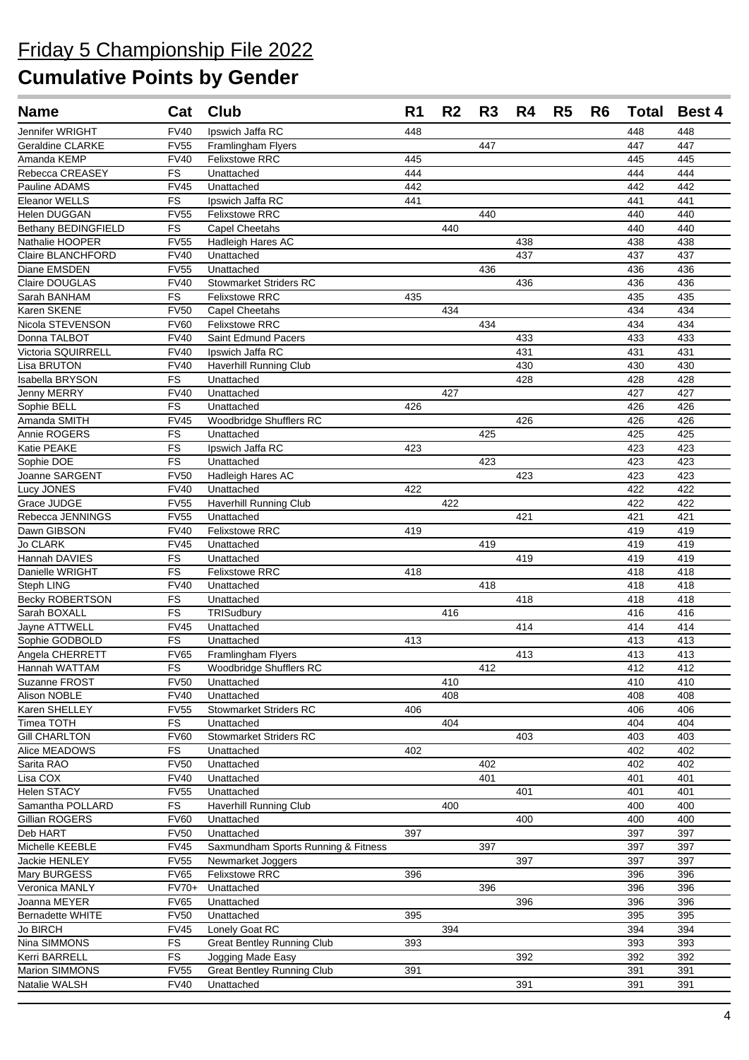| <b>Name</b>                       | Cat               | <b>Club</b>                                 | R <sub>1</sub> | R <sub>2</sub> | R3  | R4         | R <sub>5</sub> | R <sub>6</sub> | <b>Total</b> | <b>Best 4</b> |
|-----------------------------------|-------------------|---------------------------------------------|----------------|----------------|-----|------------|----------------|----------------|--------------|---------------|
| Jennifer WRIGHT                   | <b>FV40</b>       | Ipswich Jaffa RC                            | 448            |                |     |            |                |                | 448          | 448           |
| Geraldine CLARKE                  | <b>FV55</b>       | Framlingham Flyers                          |                |                | 447 |            |                |                | 447          | 447           |
| Amanda KEMP                       | <b>FV40</b>       | <b>Felixstowe RRC</b>                       | 445            |                |     |            |                |                | 445          | 445           |
| Rebecca CREASEY                   | FS                | Unattached                                  | 444            |                |     |            |                |                | 444          | 444           |
| Pauline ADAMS                     | <b>FV45</b>       | Unattached                                  | 442            |                |     |            |                |                | 442          | 442           |
| Eleanor WELLS                     | <b>FS</b>         | Ipswich Jaffa RC                            | 441            |                |     |            |                |                | 441          | 441           |
| <b>Helen DUGGAN</b>               | <b>FV55</b>       | <b>Felixstowe RRC</b>                       |                |                | 440 |            |                |                | 440          | 440           |
| <b>Bethany BEDINGFIELD</b>        | <b>FS</b>         | <b>Capel Cheetahs</b>                       |                | 440            |     |            |                |                | 440          | 440           |
| Nathalie HOOPER                   | <b>FV55</b>       | <b>Hadleigh Hares AC</b>                    |                |                |     | 438        |                |                | 438          | 438           |
| <b>Claire BLANCHFORD</b>          | <b>FV40</b>       | Unattached                                  |                |                |     | 437        |                |                | 437          | 437           |
| Diane EMSDEN                      | <b>FV55</b>       | Unattached                                  |                |                | 436 |            |                |                | 436          | 436           |
| Claire DOUGLAS                    | <b>FV40</b>       | <b>Stowmarket Striders RC</b>               |                |                |     | 436        |                |                | 436          | 436           |
| Sarah BANHAM                      | FS                | <b>Felixstowe RRC</b>                       | 435            |                |     |            |                |                | 435          | 435           |
| Karen SKENE                       | <b>FV50</b>       | <b>Capel Cheetahs</b>                       |                | 434            |     |            |                |                | 434          | 434           |
| Nicola STEVENSON                  | <b>FV60</b>       | <b>Felixstowe RRC</b>                       |                |                | 434 |            |                |                | 434          | 434           |
| Donna TALBOT                      | <b>FV40</b>       | Saint Edmund Pacers                         |                |                |     | 433        |                |                | 433          | 433           |
| Victoria SQUIRRELL                | <b>FV40</b>       | Ipswich Jaffa RC                            |                |                |     | 431        |                |                | 431          | 431           |
| Lisa BRUTON                       | <b>FV40</b>       | <b>Haverhill Running Club</b><br>Unattached |                |                |     | 430<br>428 |                |                | 430<br>428   | 430<br>428    |
| Isabella BRYSON                   | FS                |                                             |                | 427            |     |            |                |                |              | 427           |
| <b>Jenny MERRY</b><br>Sophie BELL | <b>FV40</b><br>FS | Unattached<br>Unattached                    | 426            |                |     |            |                |                | 427<br>426   | 426           |
| Amanda SMITH                      | <b>FV45</b>       |                                             |                |                |     | 426        |                |                | 426          | 426           |
| Annie ROGERS                      | FS                | Woodbridge Shufflers RC<br>Unattached       |                |                | 425 |            |                |                | 425          | 425           |
| Katie PEAKE                       | FS                | Ipswich Jaffa RC                            | 423            |                |     |            |                |                | 423          | 423           |
| Sophie DOE                        | FS                | Unattached                                  |                |                | 423 |            |                |                | 423          | 423           |
| Joanne SARGENT                    | <b>FV50</b>       | Hadleigh Hares AC                           |                |                |     | 423        |                |                | 423          | 423           |
| Lucy JONES                        | <b>FV40</b>       | Unattached                                  | 422            |                |     |            |                |                | 422          | 422           |
| Grace JUDGE                       | <b>FV55</b>       | Haverhill Running Club                      |                | 422            |     |            |                |                | 422          | 422           |
| Rebecca JENNINGS                  | <b>FV55</b>       | Unattached                                  |                |                |     | 421        |                |                | 421          | 421           |
| Dawn GIBSON                       | <b>FV40</b>       | Felixstowe RRC                              | 419            |                |     |            |                |                | 419          | 419           |
| <b>Jo CLARK</b>                   | <b>FV45</b>       | Unattached                                  |                |                | 419 |            |                |                | 419          | 419           |
| Hannah DAVIES                     | ${\sf FS}$        | Unattached                                  |                |                |     | 419        |                |                | 419          | 419           |
| Danielle WRIGHT                   | FS                | <b>Felixstowe RRC</b>                       | 418            |                |     |            |                |                | 418          | 418           |
| Steph LING                        | <b>FV40</b>       | Unattached                                  |                |                | 418 |            |                |                | 418          | 418           |
| <b>Becky ROBERTSON</b>            | FS                | Unattached                                  |                |                |     | 418        |                |                | 418          | 418           |
| Sarah BOXALL                      | FS                | TRISudbury                                  |                | 416            |     |            |                |                | 416          | 416           |
| Jayne ATTWELL                     | <b>FV45</b>       | Unattached                                  |                |                |     | 414        |                |                | 414          | 414           |
| Sophie GODBOLD                    | FS                | Unattached                                  | 413            |                |     |            |                |                | 413          | 413           |
| Angela CHERRETT                   | <b>FV65</b>       | Framlingham Flyers                          |                |                |     | 413        |                |                | 413          | 413           |
| Hannah WATTAM                     | FS                | <b>Woodbridge Shufflers RC</b>              |                |                | 412 |            |                |                | 412          | 412           |
| Suzanne FROST                     | <b>FV50</b>       | Unattached                                  |                | 410            |     |            |                |                | 410          | 410           |
| Alison NOBLE                      | <b>FV40</b>       | Unattached                                  |                | 408            |     |            |                |                | 408          | 408           |
| Karen SHELLEY                     | <b>FV55</b>       | <b>Stowmarket Striders RC</b>               | 406            |                |     |            |                |                | 406          | 406           |
| Timea TOTH                        | <b>FS</b>         | Unattached                                  |                | 404            |     |            |                |                | 404          | 404           |
| <b>Gill CHARLTON</b>              | <b>FV60</b>       | <b>Stowmarket Striders RC</b>               |                |                |     | 403        |                |                | 403          | 403           |
| Alice MEADOWS                     | FS                | Unattached                                  | 402            |                |     |            |                |                | 402          | 402           |
| Sarita RAO                        | <b>FV50</b>       | Unattached                                  |                |                | 402 |            |                |                | 402          | 402           |
| Lisa COX                          | <b>FV40</b>       | Unattached                                  |                |                | 401 |            |                |                | 401          | 401           |
| Helen STACY                       | <b>FV55</b>       | Unattached                                  |                |                |     | 401        |                |                | 401          | 401           |
| Samantha POLLARD                  | FS                | Haverhill Running Club                      |                | 400            |     |            |                |                | 400          | 400           |
| Gillian ROGERS                    | <b>FV60</b>       | Unattached                                  |                |                |     | 400        |                |                | 400          | 400           |
| Deb HART                          | <b>FV50</b>       | Unattached                                  | 397            |                |     |            |                |                | 397          | 397           |
| Michelle KEEBLE                   | <b>FV45</b>       | Saxmundham Sports Running & Fitness         |                |                | 397 |            |                |                | 397          | 397           |
| Jackie HENLEY                     | <b>FV55</b>       | Newmarket Joggers                           |                |                |     | 397        |                |                | 397          | 397           |
| Mary BURGESS                      | <b>FV65</b>       | <b>Felixstowe RRC</b>                       | 396            |                |     |            |                |                | 396          | 396           |
| Veronica MANLY                    | FV70+             | Unattached                                  |                |                | 396 |            |                |                | 396          | 396           |
| Joanna MEYER                      | <b>FV65</b>       | Unattached                                  |                |                |     | 396        |                |                | 396          | 396           |
| <b>Bernadette WHITE</b>           | <b>FV50</b>       | Unattached                                  | 395            |                |     |            |                |                | 395          | 395           |
| <b>Jo BIRCH</b>                   | <b>FV45</b>       | Lonely Goat RC                              |                | 394            |     |            |                |                | 394          | 394           |
| Nina SIMMONS                      | FS                | <b>Great Bentley Running Club</b>           | 393            |                |     |            |                |                | 393          | 393           |
| Kerri BARRELL                     | FS                | Jogging Made Easy                           |                |                |     | 392        |                |                | 392          | 392           |
| Marion SIMMONS                    | <b>FV55</b>       | <b>Great Bentley Running Club</b>           | 391            |                |     |            |                |                | 391          | 391           |
| Natalie WALSH                     | <b>FV40</b>       | Unattached                                  |                |                |     | 391        |                |                | 391          | 391           |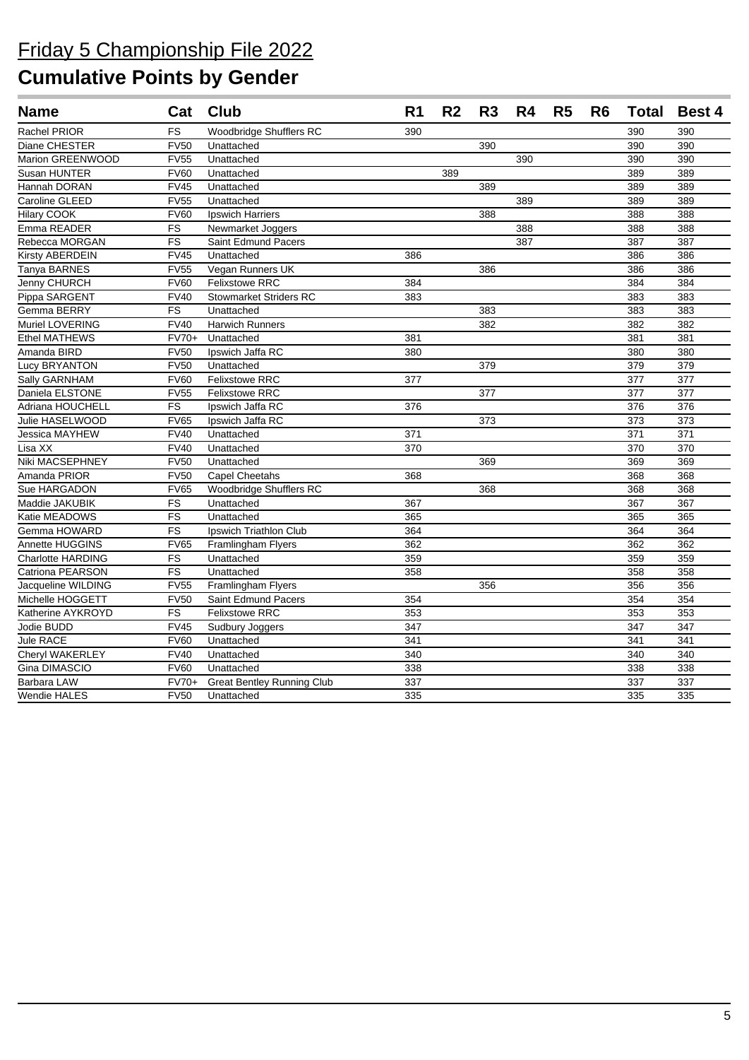## Friday 5 Championship File 2022

| <b>Name</b>              | Cat         | <b>Club</b>                       | R <sub>1</sub> | R <sub>2</sub> | R <sub>3</sub>   | R <sub>4</sub> | R <sub>5</sub> | R <sub>6</sub> | <b>Total</b> | <b>Best 4</b> |
|--------------------------|-------------|-----------------------------------|----------------|----------------|------------------|----------------|----------------|----------------|--------------|---------------|
| <b>Rachel PRIOR</b>      | <b>FS</b>   | Woodbridge Shufflers RC           | 390            |                |                  |                |                |                | 390          | 390           |
| Diane CHESTER            | <b>FV50</b> | Unattached                        |                |                | 390              |                |                |                | 390          | 390           |
| Marion GREENWOOD         | <b>FV55</b> | Unattached                        |                |                |                  | 390            |                |                | 390          | 390           |
| Susan HUNTER             | <b>FV60</b> | Unattached                        |                | 389            |                  |                |                |                | 389          | 389           |
| Hannah DORAN             | <b>FV45</b> | Unattached                        |                |                | 389              |                |                |                | 389          | 389           |
| Caroline GLEED           | <b>FV55</b> | Unattached                        |                |                |                  | 389            |                |                | 389          | 389           |
| Hilary COOK              | <b>FV60</b> | Ipswich Harriers                  |                |                | 388              |                |                |                | 388          | 388           |
| Emma READER              | FS          | Newmarket Joggers                 |                |                |                  | 388            |                |                | 388          | 388           |
| Rebecca MORGAN           | <b>FS</b>   | Saint Edmund Pacers               |                |                |                  | 387            |                |                | 387          | 387           |
| Kirsty ABERDEIN          | <b>FV45</b> | Unattached                        | 386            |                |                  |                |                |                | 386          | 386           |
| Tanya BARNES             | <b>FV55</b> | Vegan Runners UK                  |                |                | 386              |                |                |                | 386          | 386           |
| Jenny CHURCH             | <b>FV60</b> | <b>Felixstowe RRC</b>             | 384            |                |                  |                |                |                | 384          | 384           |
| Pippa SARGENT            | <b>FV40</b> | <b>Stowmarket Striders RC</b>     | 383            |                |                  |                |                |                | 383          | 383           |
| Gemma BERRY              | <b>FS</b>   | Unattached                        |                |                | 383              |                |                |                | 383          | 383           |
| Muriel LOVERING          | <b>FV40</b> | <b>Harwich Runners</b>            |                |                | 382              |                |                |                | 382          | 382           |
| <b>Ethel MATHEWS</b>     | FV70+       | Unattached                        | 381            |                |                  |                |                |                | 381          | 381           |
| Amanda BIRD              | FV50        | Ipswich Jaffa RC                  | 380            |                |                  |                |                |                | 380          | 380           |
| Lucy BRYANTON            | FV50        | Unattached                        |                |                | 379              |                |                |                | 379          | 379           |
| Sally GARNHAM            | <b>FV60</b> | <b>Felixstowe RRC</b>             | 377            |                |                  |                |                |                | 377          | 377           |
| Daniela ELSTONE          | <b>FV55</b> | <b>Felixstowe RRC</b>             |                |                | 377              |                |                |                | 377          | 377           |
| Adriana HOUCHELL         | FS          | Ipswich Jaffa RC                  | 376            |                |                  |                |                |                | 376          | 376           |
| Julie HASELWOOD          | <b>FV65</b> | Ipswich Jaffa RC                  |                |                | $\overline{373}$ |                |                |                | 373          | 373           |
| Jessica MAYHEW           | <b>FV40</b> | Unattached                        | 371            |                |                  |                |                |                | 371          | 371           |
| Lisa XX                  | <b>FV40</b> | Unattached                        | 370            |                |                  |                |                |                | 370          | 370           |
| Niki MACSEPHNEY          | <b>FV50</b> | Unattached                        |                |                | 369              |                |                |                | 369          | 369           |
| Amanda PRIOR             | <b>FV50</b> | Capel Cheetahs                    | 368            |                |                  |                |                |                | 368          | 368           |
| Sue HARGADON             | <b>FV65</b> | Woodbridge Shufflers RC           |                |                | 368              |                |                |                | 368          | 368           |
| Maddie JAKUBIK           | FS          | Unattached                        | 367            |                |                  |                |                |                | 367          | 367           |
| Katie MEADOWS            | <b>FS</b>   | Unattached                        | 365            |                |                  |                |                |                | 365          | 365           |
| Gemma HOWARD             | <b>FS</b>   | Ipswich Triathlon Club            | 364            |                |                  |                |                |                | 364          | 364           |
| <b>Annette HUGGINS</b>   | <b>FV65</b> | <b>Framlingham Flyers</b>         | 362            |                |                  |                |                |                | 362          | 362           |
| <b>Charlotte HARDING</b> | FS          | Unattached                        | 359            |                |                  |                |                |                | 359          | 359           |
| Catriona PEARSON         | FS          | Unattached                        | 358            |                |                  |                |                |                | 358          | 358           |
| Jacqueline WILDING       | <b>FV55</b> | <b>Framlingham Flyers</b>         |                |                | 356              |                |                |                | 356          | 356           |
| Michelle HOGGETT         | <b>FV50</b> | Saint Edmund Pacers               | 354            |                |                  |                |                |                | 354          | 354           |
| Katherine AYKROYD        | FS          | <b>Felixstowe RRC</b>             | 353            |                |                  |                |                |                | 353          | 353           |
| Jodie BUDD               | <b>FV45</b> | Sudbury Joggers                   | 347            |                |                  |                |                |                | 347          | 347           |
| Jule RACE                | <b>FV60</b> | Unattached                        | 341            |                |                  |                |                |                | 341          | 341           |
| Cheryl WAKERLEY          | <b>FV40</b> | Unattached                        | 340            |                |                  |                |                |                | 340          | 340           |
| Gina DIMASCIO            | <b>FV60</b> | Unattached                        | 338            |                |                  |                |                |                | 338          | 338           |
| Barbara LAW              | $FV70+$     | <b>Great Bentley Running Club</b> | 337            |                |                  |                |                |                | 337          | 337           |
| <b>Wendie HALES</b>      | <b>FV50</b> | Unattached                        | 335            |                |                  |                |                |                | 335          | 335           |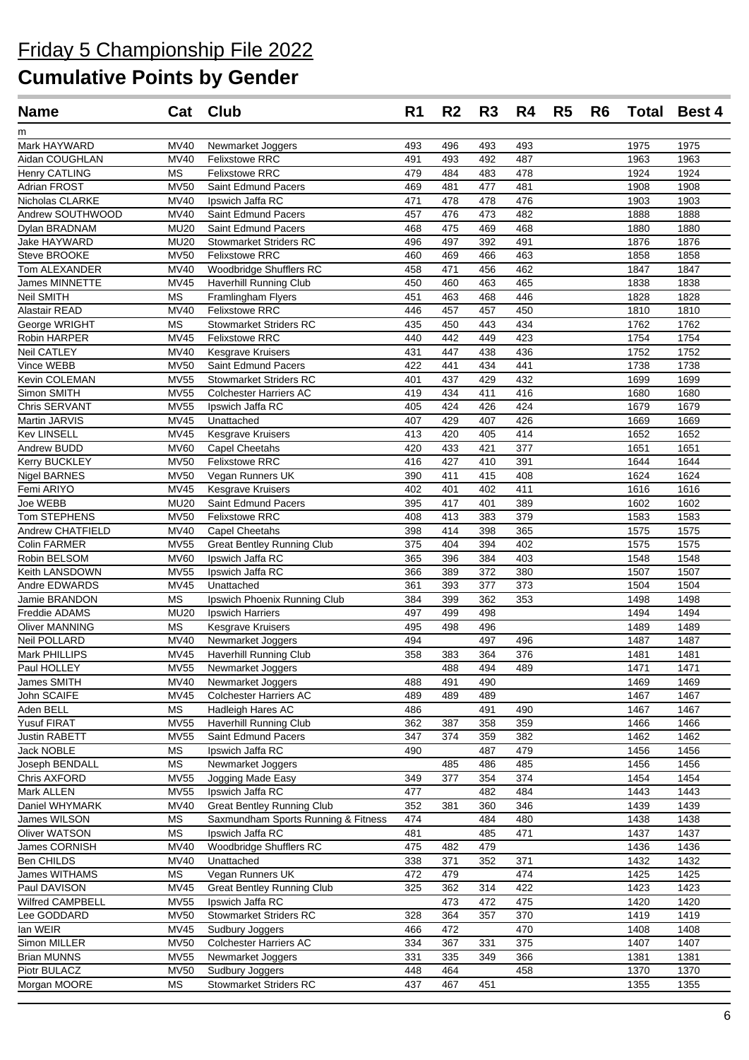| <b>Name</b>              |                            | Cat Club                                     | R <sub>1</sub> | R <sub>2</sub> | R <sub>3</sub> | R4         | R <sub>5</sub> | R <sub>6</sub> |              | <b>Total Best 4</b> |
|--------------------------|----------------------------|----------------------------------------------|----------------|----------------|----------------|------------|----------------|----------------|--------------|---------------------|
| m                        |                            |                                              |                |                |                |            |                |                |              |                     |
| Mark HAYWARD             | <b>MV40</b>                | Newmarket Joggers                            | 493            | 496            | 493            | 493        |                |                | 1975         | 1975                |
| Aidan COUGHLAN           | <b>MV40</b>                | <b>Felixstowe RRC</b>                        | 491            | 493            | 492            | 487        |                |                | 1963         | 1963                |
| Henry CATLING            | <b>MS</b>                  | <b>Felixstowe RRC</b>                        | 479            | 484            | 483            | 478        |                |                | 1924         | 1924                |
| Adrian FROST             | <b>MV50</b>                | Saint Edmund Pacers                          | 469            | 481            | 477            | 481        |                |                | 1908         | 1908                |
| Nicholas CLARKE          | MV40                       | Ipswich Jaffa RC                             | 471            | 478            | 478            | 476        |                |                | 1903         | 1903                |
| Andrew SOUTHWOOD         | <b>MV40</b>                | Saint Edmund Pacers                          | 457            | 476            | 473            | 482        |                |                | 1888         | 1888                |
| Dylan BRADNAM            | <b>MU20</b>                | Saint Edmund Pacers                          | 468            | 475            | 469            | 468        |                |                | 1880         | 1880                |
| Jake HAYWARD             | <b>MU20</b>                | <b>Stowmarket Striders RC</b>                | 496            | 497            | 392            | 491        |                |                | 1876         | 1876                |
| Steve BROOKE             | <b>MV50</b>                | <b>Felixstowe RRC</b>                        | 460            | 469            | 466            | 463        |                |                | 1858         | 1858                |
| Tom ALEXANDER            | <b>MV40</b>                | Woodbridge Shufflers RC                      | 458            | 471            | 456            | 462        |                |                | 1847         | 1847                |
| James MINNETTE           | <b>MV45</b>                | <b>Haverhill Running Club</b>                | 450            | 460            | 463            | 465        |                |                | 1838         | 1838                |
| Neil SMITH               | <b>MS</b>                  | Framlingham Flyers                           | 451            | 463            | 468            | 446        |                |                | 1828         | 1828                |
| Alastair READ            | MV40                       | <b>Felixstowe RRC</b>                        | 446            | 457            | 457            | 450        |                |                | 1810         | 1810                |
| George WRIGHT            | <b>MS</b>                  | <b>Stowmarket Striders RC</b>                | 435            | 450            | 443            | 434        |                |                | 1762         | 1762                |
| Robin HARPER             | MV45                       | Felixstowe RRC                               | 440            | 442            | 449            | 423        |                |                | 1754         | 1754                |
| Neil CATLEY              | MV40                       | Kesgrave Kruisers                            | 431            | 447            | 438            | 436        |                |                | 1752         | 1752                |
| Vince WEBB               | <b>MV50</b>                | Saint Edmund Pacers                          | 422            | 441            | 434            | 441        |                |                | 1738         | 1738                |
| Kevin COLEMAN            | <b>MV55</b>                | <b>Stowmarket Striders RC</b>                | 401            | 437            | 429            | 432        |                |                | 1699         | 1699                |
| Simon SMITH              | <b>MV55</b>                | <b>Colchester Harriers AC</b>                | 419            | 434            | 411            | 416        |                |                | 1680         | 1680                |
| Chris SERVANT            | <b>MV55</b>                | Ipswich Jaffa RC                             | 405            | 424            | 426            | 424        |                |                | 1679         | 1679                |
| Martin JARVIS            | <b>MV45</b>                | Unattached                                   | 407            | 429            | 407            | 426        |                |                | 1669         | 1669                |
| <b>Kev LINSELL</b>       | <b>MV45</b>                | Kesgrave Kruisers                            | 413            | 420            | 405            | 414        |                |                | 1652         | 1652                |
| Andrew BUDD              | <b>MV60</b>                | <b>Capel Cheetahs</b>                        | 420            | 433            | 421            | 377        |                |                | 1651         | 1651                |
| Kerry BUCKLEY            | <b>MV50</b>                | <b>Felixstowe RRC</b>                        | 416            | 427            | 410            | 391        |                |                | 1644         | 1644                |
| <b>Nigel BARNES</b>      | <b>MV50</b>                | Vegan Runners UK                             | 390            | 411            | 415            | 408        |                |                | 1624         | 1624                |
| Femi ARIYO               | <b>MV45</b>                | <b>Kesgrave Kruisers</b>                     | 402            | 401            | 402            | 411        |                |                | 1616         | 1616                |
| Joe WEBB<br>Tom STEPHENS | <b>MU20</b><br><b>MV50</b> | Saint Edmund Pacers<br><b>Felixstowe RRC</b> | 395<br>408     | 417<br>413     | 401<br>383     | 389<br>379 |                |                | 1602<br>1583 | 1602<br>1583        |
| Andrew CHATFIELD         | <b>MV40</b>                | <b>Capel Cheetahs</b>                        | 398            | 414            | 398            | 365        |                |                | 1575         | 1575                |
| Colin FARMER             | <b>MV55</b>                | <b>Great Bentley Running Club</b>            | 375            | 404            | 394            | 402        |                |                | 1575         | 1575                |
| Robin BELSOM             | <b>MV60</b>                | Ipswich Jaffa RC                             | 365            | 396            | 384            | 403        |                |                | 1548         | 1548                |
| Keith LANSDOWN           | <b>MV55</b>                | Ipswich Jaffa RC                             | 366            | 389            | 372            | 380        |                |                | 1507         | 1507                |
| Andre EDWARDS            | <b>MV45</b>                | Unattached                                   | 361            | 393            | 377            | 373        |                |                | 1504         | 1504                |
| Jamie BRANDON            | <b>MS</b>                  | Ipswich Phoenix Running Club                 | 384            | 399            | 362            | 353        |                |                | 1498         | 1498                |
| Freddie ADAMS            | <b>MU20</b>                | Ipswich Harriers                             | 497            | 499            | 498            |            |                |                | 1494         | 1494                |
| <b>Oliver MANNING</b>    | <b>MS</b>                  | Kesgrave Kruisers                            | 495            | 498            | 496            |            |                |                | 1489         | 1489                |
| Neil POLLARD             | <b>MV40</b>                | Newmarket Joggers                            | 494            |                | 497            | 496        |                |                | 1487         | 1487                |
| Mark PHILLIPS            | <b>MV45</b>                | <b>Haverhill Running Club</b>                | 358            | 383            | 364            | 376        |                |                | 1481         | 1481                |
| Paul HOLLEY              |                            | MV55 Newmarket Joggers                       |                | 488            | 494            | 489        |                |                | 1471         | 1471                |
| James SMITH              | MV40                       | Newmarket Joggers                            | 488            | 491            | 490            |            |                |                | 1469         | 1469                |
| John SCAIFE              | MV45                       | <b>Colchester Harriers AC</b>                | 489            | 489            | 489            |            |                |                | 1467         | 1467                |
| Aden BELL                | <b>MS</b>                  | <b>Hadleigh Hares AC</b>                     | 486            |                | 491            | 490        |                |                | 1467         | 1467                |
| Yusuf FIRAT              | <b>MV55</b>                | Haverhill Running Club                       | 362            | 387            | 358            | 359        |                |                | 1466         | 1466                |
| Justin RABETT            | <b>MV55</b>                | Saint Edmund Pacers                          | 347            | 374            | 359            | 382        |                |                | 1462         | 1462                |
| <b>Jack NOBLE</b>        | <b>MS</b>                  | Ipswich Jaffa RC                             | 490            |                | 487            | 479        |                |                | 1456         | 1456                |
| Joseph BENDALL           | <b>MS</b>                  | Newmarket Joggers                            |                | 485            | 486            | 485        |                |                | 1456         | 1456                |
| Chris AXFORD             | <b>MV55</b>                | Jogging Made Easy                            | 349            | 377            | 354            | 374        |                |                | 1454         | 1454                |
| Mark ALLEN               | <b>MV55</b>                | Ipswich Jaffa RC                             | 477            |                | 482            | 484        |                |                | 1443         | 1443                |
| Daniel WHYMARK           | MV40                       | <b>Great Bentley Running Club</b>            | 352            | 381            | 360            | 346        |                |                | 1439         | 1439                |
| James WILSON             | <b>MS</b>                  | Saxmundham Sports Running & Fitness          | 474            |                | 484            | 480        |                |                | 1438         | 1438                |
| Oliver WATSON            | <b>MS</b>                  | Ipswich Jaffa RC                             | 481            |                | 485            | 471        |                |                | 1437         | 1437                |
| James CORNISH            | <b>MV40</b>                | Woodbridge Shufflers RC                      | 475            | 482            | 479            |            |                |                | 1436         | 1436                |
| Ben CHILDS               | <b>MV40</b>                | Unattached                                   | 338            | 371            | 352            | 371        |                |                | 1432         | 1432                |
| James WITHAMS            | <b>MS</b>                  | Vegan Runners UK                             | 472            | 479            |                | 474        |                |                | 1425         | 1425                |
| Paul DAVISON             | MV45                       | <b>Great Bentley Running Club</b>            | 325            | 362            | 314            | 422        |                |                | 1423         | 1423                |
| Wilfred CAMPBELL         | <b>MV55</b>                | Ipswich Jaffa RC                             |                | 473            | 472            | 475        |                |                | 1420         | 1420                |
| Lee GODDARD              | <b>MV50</b>                | <b>Stowmarket Striders RC</b>                | 328            | 364            | 357            | 370        |                |                | 1419         | 1419                |
| lan WEIR                 | <b>MV45</b>                | Sudbury Joggers                              | 466            | 472            |                | 470        |                |                | 1408         | 1408                |
| Simon MILLER             | <b>MV50</b>                | <b>Colchester Harriers AC</b>                | 334            | 367            | 331            | 375        |                |                | 1407         | 1407                |
| <b>Brian MUNNS</b>       | <b>MV55</b>                | Newmarket Joggers                            | 331            | 335            | 349            | 366        |                |                | 1381         | 1381                |
| Piotr BULACZ             | <b>MV50</b>                | Sudbury Joggers                              | 448            | 464            |                | 458        |                |                | 1370         | 1370                |
| Morgan MOORE             | МS                         | <b>Stowmarket Striders RC</b>                | 437            | 467            | 451            |            |                |                | 1355         | 1355                |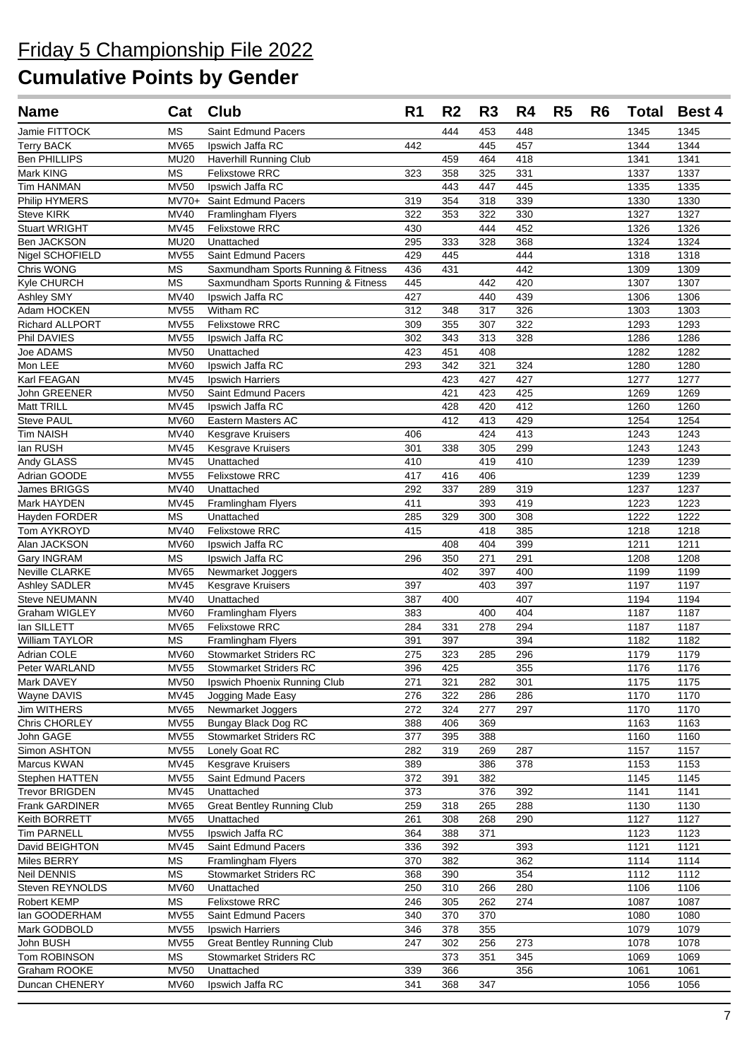| <b>Name</b>                     | Cat                      | <b>Club</b>                          | R <sub>1</sub> | R <sub>2</sub>   | R <sub>3</sub> | R4         | R <sub>5</sub> | R <sub>6</sub> | <b>Total</b> | Best 4       |
|---------------------------------|--------------------------|--------------------------------------|----------------|------------------|----------------|------------|----------------|----------------|--------------|--------------|
| Jamie FITTOCK                   | <b>MS</b>                | Saint Edmund Pacers                  |                | 444              | 453            | 448        |                |                | 1345         | 1345         |
| <b>Terry BACK</b>               | <b>MV65</b>              | Ipswich Jaffa RC                     | 442            |                  | 445            | 457        |                |                | 1344         | 1344         |
| <b>Ben PHILLIPS</b>             | <b>MU20</b>              | <b>Haverhill Running Club</b>        |                | 459              | 464            | 418        |                |                | 1341         | 1341         |
| Mark KING                       | <b>MS</b>                | <b>Felixstowe RRC</b>                | 323            | 358              | 325            | 331        |                |                | 1337         | 1337         |
| <b>Tim HANMAN</b>               | <b>MV50</b>              | Ipswich Jaffa RC                     |                | 443              | 447            | 445        |                |                | 1335         | 1335         |
| Philip HYMERS                   | $MV70+$                  | Saint Edmund Pacers                  | 319            | 354              | 318            | 339        |                |                | 1330         | 1330         |
| Steve KIRK                      | <b>MV40</b>              | <b>Framlingham Flyers</b>            | 322            | 353              | 322            | 330        |                |                | 1327         | 1327         |
| <b>Stuart WRIGHT</b>            | <b>MV45</b>              | <b>Felixstowe RRC</b>                | 430            |                  | 444            | 452        |                |                | 1326         | 1326         |
| <b>Ben JACKSON</b>              | <b>MU20</b>              | Unattached                           | 295            | 333              | 328            | 368        |                |                | 1324         | 1324         |
| Nigel SCHOFIELD                 | <b>MV55</b>              | Saint Edmund Pacers                  | 429            | 445              |                | 444        |                |                | 1318         | 1318         |
| Chris WONG                      | <b>MS</b>                | Saxmundham Sports Running & Fitness  | 436            | 431              |                | 442        |                |                | 1309         | 1309         |
| Kyle CHURCH                     | <b>MS</b>                | Saxmundham Sports Running & Fitness  | 445            |                  | 442            | 420        |                |                | 1307         | 1307         |
| Ashley SMY                      | MV40                     | Ipswich Jaffa RC                     | 427            |                  | 440            | 439        |                |                | 1306         | 1306         |
| Adam HOCKEN                     | <b>MV55</b>              | Witham RC                            | 312            | 348              | 317            | 326        |                |                | 1303         | 1303         |
| Richard ALLPORT                 | <b>MV55</b>              | <b>Felixstowe RRC</b>                | 309            | 355              | 307            | 322        |                |                | 1293         | 1293         |
| Phil DAVIES                     | <b>MV55</b>              | Ipswich Jaffa RC                     | 302            | 343              | 313            | 328        |                |                | 1286         | 1286         |
| Joe ADAMS                       | <b>MV50</b>              | Unattached                           | 423            | 451              | 408            |            |                |                | 1282         | 1282         |
| Mon LEE                         | <b>MV60</b>              | Ipswich Jaffa RC                     | 293            | 342              | 321            | 324        |                |                | 1280         | 1280         |
| Karl FEAGAN                     | <b>MV45</b>              | Ipswich Harriers                     |                | 423              | 427            | 427        |                |                | 1277         | 1277         |
| John GREENER                    | <b>MV50</b>              | Saint Edmund Pacers                  |                | 421              | 423            | 425        |                |                | 1269         | 1269         |
| Matt TRILL                      | <b>MV45</b>              | Ipswich Jaffa RC                     |                | 428              | 420            | 412        |                |                | 1260         | 1260         |
| Steve PAUL                      | <b>MV60</b>              | Eastern Masters AC                   |                | 412              | 413            | 429        |                |                | 1254         | 1254         |
| <b>Tim NAISH</b>                | MV40                     | Kesgrave Kruisers                    | 406            |                  | 424            | 413        |                |                | 1243         | 1243         |
| lan RUSH                        | <b>MV45</b>              | Kesgrave Kruisers                    | 301            | 338              | 305            | 299        |                |                | 1243         | 1243         |
| Andy GLASS                      | <b>MV45</b>              | Unattached                           | 410            |                  | 419            | 410        |                |                | 1239         | 1239         |
| Adrian GOODE                    | <b>MV55</b>              | <b>Felixstowe RRC</b>                | 417            | 416              | 406            |            |                |                | 1239         | 1239         |
| James BRIGGS                    | MV40                     | Unattached                           | 292            | 337              | 289            | 319        |                |                | 1237         | 1237         |
| Mark HAYDEN                     | <b>MV45</b>              | Framlingham Flyers                   | 411            |                  | 393            | 419        |                |                | 1223         | 1223         |
| Hayden FORDER                   | <b>MS</b>                | Unattached                           | 285            | 329              | 300            | 308        |                |                | 1222         | 1222         |
| Tom AYKROYD                     | MV40<br><b>MV60</b>      | <b>Felixstowe RRC</b>                | 415            | 408              | 418<br>404     | 385<br>399 |                |                | 1218<br>1211 | 1218<br>1211 |
| Alan JACKSON                    |                          | Ipswich Jaffa RC<br>Ipswich Jaffa RC |                |                  | 271            | 291        |                |                |              |              |
| Gary INGRAM                     | <b>MS</b><br><b>MV65</b> |                                      | 296            | 350<br>402       |                | 400        |                |                | 1208         | 1208         |
| Neville CLARKE<br>Ashley SADLER | <b>MV45</b>              | Newmarket Joggers                    | 397            |                  | 397<br>403     | 397        |                |                | 1199<br>1197 | 1199<br>1197 |
| Steve NEUMANN                   | <b>MV40</b>              | Kesgrave Kruisers<br>Unattached      | 387            | 400              |                | 407        |                |                | 1194         | 1194         |
| Graham WIGLEY                   | MV60                     | Framlingham Flyers                   | 383            |                  | 400            | 404        |                |                | 1187         | 1187         |
| lan SILLETT                     | <b>MV65</b>              | <b>Felixstowe RRC</b>                | 284            | 331              | 278            | 294        |                |                | 1187         | 1187         |
| William TAYLOR                  | <b>MS</b>                | Framlingham Flyers                   | 391            | 397              |                | 394        |                |                | 1182         | 1182         |
| Adrian COLE                     | <b>MV60</b>              | <b>Stowmarket Striders RC</b>        | 275            | 323              | 285            | 296        |                |                | 1179         | 1179         |
| Peter WARLAND                   |                          | MV55 Stowmarket Striders RC          | 396            | 425              |                | 355        |                |                | 1176         | 1176         |
| Mark DAVEY                      | <b>MV50</b>              | Ipswich Phoenix Running Club         | 271            | 321              | 282            | 301        |                |                | 1175         | 1175         |
| Wayne DAVIS                     | <b>MV45</b>              | Jogging Made Easy                    | 276            | 322              | 286            | 286        |                |                | 1170         | 1170         |
| Jim WITHERS                     | <b>MV65</b>              | Newmarket Joggers                    | 272            | 324              | 277            | 297        |                |                | 1170         | 1170         |
| Chris CHORLEY                   | <b>MV55</b>              | Bungay Black Dog RC                  | 388            | 406              | 369            |            |                |                | 1163         | 1163         |
| John GAGE                       | <b>MV55</b>              | <b>Stowmarket Striders RC</b>        | 377            | 395              | 388            |            |                |                | 1160         | 1160         |
| Simon ASHTON                    | <b>MV55</b>              | Lonely Goat RC                       | 282            | 319              | 269            | 287        |                |                | 1157         | 1157         |
| Marcus KWAN                     | <b>MV45</b>              | Kesgrave Kruisers                    | 389            |                  | 386            | 378        |                |                | 1153         | 1153         |
| Stephen HATTEN                  | <b>MV55</b>              | Saint Edmund Pacers                  | 372            | 391              | 382            |            |                |                | 1145         | 1145         |
| <b>Trevor BRIGDEN</b>           | MV45                     | Unattached                           | 373            |                  | 376            | 392        |                |                | 1141         | 1141         |
| Frank GARDINER                  | <b>MV65</b>              | <b>Great Bentley Running Club</b>    | 259            | 318              | 265            | 288        |                |                | 1130         | 1130         |
| Keith BORRETT                   | <b>MV65</b>              | Unattached                           | 261            | 308              | 268            | 290        |                |                | 1127         | 1127         |
| <b>Tim PARNELL</b>              | <b>MV55</b>              | Ipswich Jaffa RC                     | 364            | 388              | 371            |            |                |                | 1123         | 1123         |
| David BEIGHTON                  | <b>MV45</b>              | Saint Edmund Pacers                  | 336            | 392              |                | 393        |                |                | 1121         | 1121         |
| Miles BERRY                     | MS                       | Framlingham Flyers                   | 370            | 382              |                | 362        |                |                | 1114         | 1114         |
| Neil DENNIS                     | MS                       | <b>Stowmarket Striders RC</b>        | 368            | $\overline{390}$ |                | 354        |                |                | 1112         | 1112         |
| Steven REYNOLDS                 | <b>MV60</b>              | Unattached                           | 250            | 310              | 266            | 280        |                |                | 1106         | 1106         |
| Robert KEMP                     | MS                       | <b>Felixstowe RRC</b>                | 246            | 305              | 262            | 274        |                |                | 1087         | 1087         |
| lan GOODERHAM                   | <b>MV55</b>              | Saint Edmund Pacers                  | 340            | 370              | 370            |            |                |                | 1080         | 1080         |
| Mark GODBOLD                    | <b>MV55</b>              | Ipswich Harriers                     | 346            | 378              | 355            |            |                |                | 1079         | 1079         |
| John BUSH                       | <b>MV55</b>              | <b>Great Bentley Running Club</b>    | 247            | 302              | 256            | 273        |                |                | 1078         | 1078         |
| Tom ROBINSON                    | MS                       | <b>Stowmarket Striders RC</b>        |                | 373              | 351            | 345        |                |                | 1069         | 1069         |
| Graham ROOKE                    | <b>MV50</b>              | Unattached                           | 339            | 366              |                | 356        |                |                | 1061         | 1061         |
| Duncan CHENERY                  | <b>MV60</b>              | Ipswich Jaffa RC                     | 341            | 368              | 347            |            |                |                | 1056         | 1056         |
|                                 |                          |                                      |                |                  |                |            |                |                |              |              |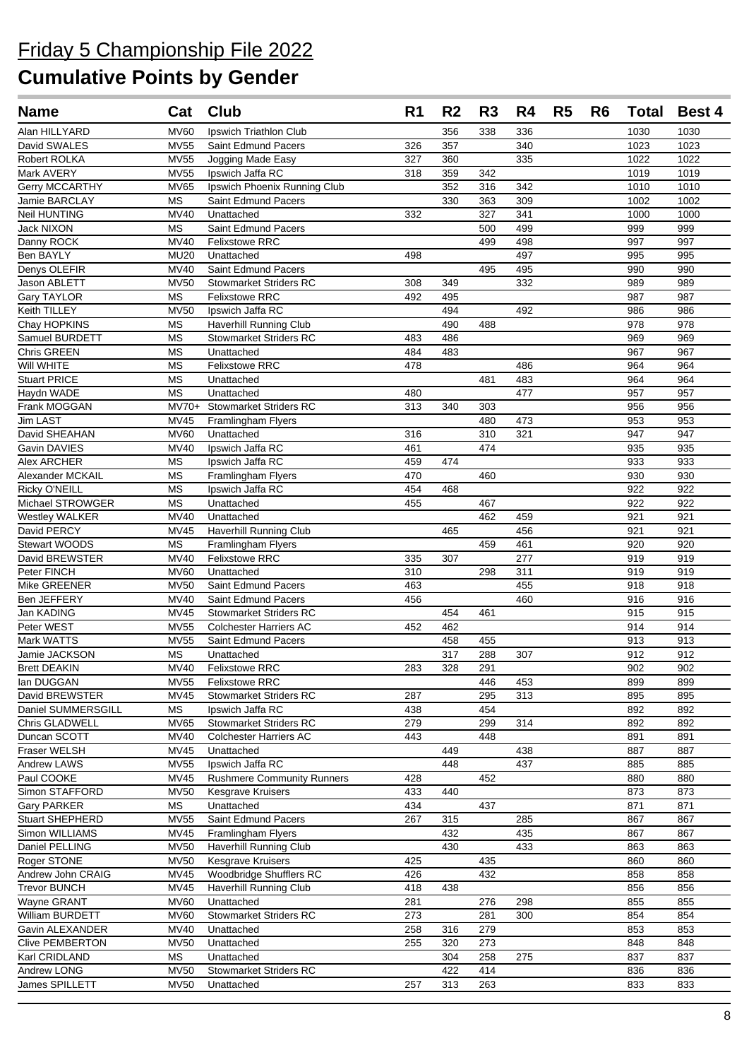| <b>Name</b>                       | Cat                    | <b>Club</b>                          | R <sub>1</sub> | R <sub>2</sub> | R <sub>3</sub> | R4  | R <sub>5</sub> | R <sub>6</sub> |            | <b>Total Best 4</b> |
|-----------------------------------|------------------------|--------------------------------------|----------------|----------------|----------------|-----|----------------|----------------|------------|---------------------|
| Alan HILLYARD                     | <b>MV60</b>            | Ipswich Triathlon Club               |                | 356            | 338            | 336 |                |                | 1030       | 1030                |
| David SWALES                      | <b>MV55</b>            | Saint Edmund Pacers                  | 326            | 357            |                | 340 |                |                | 1023       | 1023                |
| Robert ROLKA                      | <b>MV55</b>            | Jogging Made Easy                    | 327            | 360            |                | 335 |                |                | 1022       | 1022                |
| Mark AVERY                        | <b>MV55</b>            | Ipswich Jaffa RC                     | 318            | 359            | 342            |     |                |                | 1019       | 1019                |
| Gerry MCCARTHY                    | <b>MV65</b>            | Ipswich Phoenix Running Club         |                | 352            | 316            | 342 |                |                | 1010       | 1010                |
| Jamie BARCLAY                     | <b>MS</b>              | Saint Edmund Pacers                  |                | 330            | 363            | 309 |                |                | 1002       | 1002                |
| <b>Neil HUNTING</b>               | <b>MV40</b>            | Unattached                           | 332            |                | 327            | 341 |                |                | 1000       | 1000                |
| <b>Jack NIXON</b>                 | <b>MS</b>              | <b>Saint Edmund Pacers</b>           |                |                | 500            | 499 |                |                | 999        | 999                 |
| Danny ROCK                        | <b>MV40</b>            | <b>Felixstowe RRC</b>                |                |                | 499            | 498 |                |                | 997        | 997                 |
| Ben BAYLY                         | <b>MU20</b>            | Unattached                           | 498            |                |                | 497 |                |                | 995        | 995                 |
| Denys OLEFIR                      | MV40                   | <b>Saint Edmund Pacers</b>           |                |                | 495            | 495 |                |                | 990        | 990                 |
| Jason ABLETT                      | <b>MV50</b>            | <b>Stowmarket Striders RC</b>        | 308            | 349            |                | 332 |                |                | 989        | 989                 |
| Gary TAYLOR                       | <b>MS</b>              | <b>Felixstowe RRC</b>                | 492            | 495            |                |     |                |                | 987        | 987                 |
| Keith TILLEY                      | <b>MV50</b>            | Ipswich Jaffa RC                     |                | 494            |                | 492 |                |                | 986        | 986                 |
| Chay HOPKINS                      | МS                     | Haverhill Running Club               |                | 490            | 488            |     |                |                | 978        | 978                 |
| Samuel BURDETT                    | <b>MS</b>              | <b>Stowmarket Striders RC</b>        | 483            | 486            |                |     |                |                | 969        | 969                 |
| Chris GREEN                       | MS                     | Unattached                           | 484            | 483            |                |     |                |                | 967        | 967                 |
| Will WHITE                        | <b>MS</b>              | <b>Felixstowe RRC</b>                | 478            |                |                | 486 |                |                | 964        | 964                 |
| <b>Stuart PRICE</b>               | <b>MS</b>              | Unattached                           |                |                | 481            | 483 |                |                | 964        | 964                 |
| Haydn WADE                        | <b>MS</b>              | Unattached                           | 480            |                |                | 477 |                |                | 957        | 957                 |
| Frank MOGGAN                      | $MV70+$                | <b>Stowmarket Striders RC</b>        | 313            | 340            | 303            |     |                |                | 956        | 956                 |
| <b>Jim LAST</b>                   | MV45                   | Framlingham Flyers                   |                |                | 480            | 473 |                |                | 953        | 953                 |
| David SHEAHAN                     | <b>MV60</b>            | Unattached                           | 316            |                | 310            | 321 |                |                | 947        | 947                 |
| Gavin DAVIES                      | <b>MV40</b>            | Ipswich Jaffa RC<br>Ipswich Jaffa RC | 461            |                | 474            |     |                |                | 935        | 935                 |
| Alex ARCHER                       | <b>MS</b>              |                                      | 459            | 474            |                |     |                |                | 933        | 933                 |
| Alexander MCKAIL                  | <b>MS</b>              | Framlingham Flyers                   | 470            |                | 460            |     |                |                | 930<br>922 | 930<br>922          |
| Ricky O'NEILL<br>Michael STROWGER | <b>MS</b><br><b>MS</b> | Ipswich Jaffa RC<br>Unattached       | 454<br>455     | 468            | 467            |     |                |                | 922        | 922                 |
| <b>Westley WALKER</b>             | <b>MV40</b>            | Unattached                           |                |                | 462            | 459 |                |                | 921        | 921                 |
| David PERCY                       | <b>MV45</b>            | Haverhill Running Club               |                | 465            |                | 456 |                |                | 921        | 921                 |
| <b>Stewart WOODS</b>              | <b>MS</b>              | <b>Framlingham Flyers</b>            |                |                | 459            | 461 |                |                | 920        | 920                 |
| David BREWSTER                    | <b>MV40</b>            | <b>Felixstowe RRC</b>                | 335            | 307            |                | 277 |                |                | 919        | 919                 |
| Peter FINCH                       | <b>MV60</b>            | Unattached                           | 310            |                | 298            | 311 |                |                | 919        | 919                 |
| Mike GREENER                      | <b>MV50</b>            | Saint Edmund Pacers                  | 463            |                |                | 455 |                |                | 918        | 918                 |
| Ben JEFFERY                       | <b>MV40</b>            | Saint Edmund Pacers                  | 456            |                |                | 460 |                |                | 916        | 916                 |
| Jan KADING                        | <b>MV45</b>            | <b>Stowmarket Striders RC</b>        |                | 454            | 461            |     |                |                | 915        | 915                 |
| Peter WEST                        | <b>MV55</b>            | <b>Colchester Harriers AC</b>        | 452            | 462            |                |     |                |                | 914        | 914                 |
| <b>Mark WATTS</b>                 | <b>MV55</b>            | <b>Saint Edmund Pacers</b>           |                | 458            | 455            |     |                |                | 913        | 913                 |
| Jamie JACKSON                     | <b>MS</b>              | Unattached                           |                | 317            | 288            | 307 |                |                | 912        | 912                 |
| <b>Brett DEAKIN</b>               |                        | MV40 Felixstowe RRC                  | 283            | 328            | 291            |     |                |                | 902        | 902                 |
| lan DUGGAN                        | <b>MV55</b>            | <b>Felixstowe RRC</b>                |                |                | 446            | 453 |                |                | 899        | 899                 |
| David BREWSTER                    | MV45                   | <b>Stowmarket Striders RC</b>        | 287            |                | 295            | 313 |                |                | 895        | 895                 |
| Daniel SUMMERSGILL                | <b>MS</b>              | Ipswich Jaffa RC                     | 438            |                | 454            |     |                |                | 892        | 892                 |
| Chris GLADWELL                    | <b>MV65</b>            | <b>Stowmarket Striders RC</b>        | 279            |                | 299            | 314 |                |                | 892        | 892                 |
| Duncan SCOTT                      | <b>MV40</b>            | <b>Colchester Harriers AC</b>        | 443            |                | 448            |     |                |                | 891        | 891                 |
| Fraser WELSH                      | <b>MV45</b>            | Unattached                           |                | 449            |                | 438 |                |                | 887        | 887                 |
| Andrew LAWS                       | <b>MV55</b>            | Ipswich Jaffa RC                     |                | 448            |                | 437 |                |                | 885        | 885                 |
| Paul COOKE                        | MV45                   | <b>Rushmere Community Runners</b>    | 428            |                | 452            |     |                |                | 880        | 880                 |
| Simon STAFFORD                    | <b>MV50</b>            | <b>Kesgrave Kruisers</b>             | 433            | 440            |                |     |                |                | 873        | 873                 |
| <b>Gary PARKER</b>                | MS                     | Unattached                           | 434            |                | 437            |     |                |                | 871        | 871                 |
| <b>Stuart SHEPHERD</b>            | <b>MV55</b>            | Saint Edmund Pacers                  | 267            | 315            |                | 285 |                |                | 867        | 867                 |
| Simon WILLIAMS                    | <b>MV45</b>            | Framlingham Flyers                   |                | 432            |                | 435 |                |                | 867        | 867                 |
| Daniel PELLING                    | <b>MV50</b>            | <b>Haverhill Running Club</b>        |                | 430            |                | 433 |                |                | 863        | 863                 |
| Roger STONE                       | <b>MV50</b>            | Kesgrave Kruisers                    | 425            |                | 435            |     |                |                | 860        | 860                 |
| Andrew John CRAIG                 | <b>MV45</b>            | Woodbridge Shufflers RC              | 426            |                | 432            |     |                |                | 858        | 858                 |
| <b>Trevor BUNCH</b>               | <b>MV45</b>            | Haverhill Running Club               | 418            | 438            |                |     |                |                | 856        | 856                 |
| Wayne GRANT                       | <b>MV60</b>            | Unattached                           | 281            |                | 276            | 298 |                |                | 855        | 855                 |
| William BURDETT                   | <b>MV60</b>            | <b>Stowmarket Striders RC</b>        | 273            |                | 281            | 300 |                |                | 854        | 854                 |
| Gavin ALEXANDER                   | <b>MV40</b>            | Unattached                           | 258            | 316            | 279            |     |                |                | 853        | 853                 |
| <b>Clive PEMBERTON</b>            | <b>MV50</b>            | Unattached                           | 255            | 320            | 273            |     |                |                | 848        | 848                 |
| Karl CRIDLAND                     | MS                     | Unattached                           |                | 304            | 258            | 275 |                |                | 837        | 837                 |
| Andrew LONG                       | $\overline{MV50}$      | <b>Stowmarket Striders RC</b>        |                | 422            | 414            |     |                |                | 836        | 836                 |
| James SPILLETT                    | <b>MV50</b>            | Unattached                           | 257            | 313            | 263            |     |                |                | 833        | 833                 |
|                                   |                        |                                      |                |                |                |     |                |                |            |                     |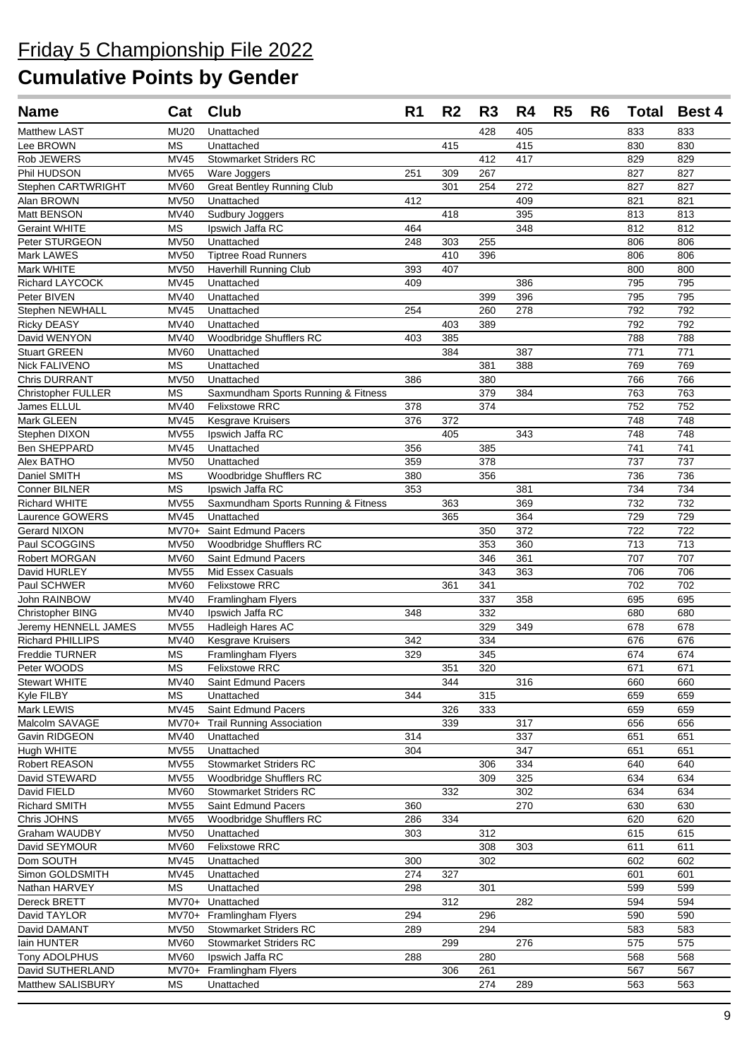## Friday 5 Championship File 2022

| <b>Name</b>                              | Cat                    | Club                                                         | R <sub>1</sub> | R <sub>2</sub> | R <sub>3</sub> | R4  | R <sub>5</sub> | R <sub>6</sub> | <b>Total</b> | <b>Best 4</b> |
|------------------------------------------|------------------------|--------------------------------------------------------------|----------------|----------------|----------------|-----|----------------|----------------|--------------|---------------|
| <b>Matthew LAST</b>                      | <b>MU20</b>            | Unattached                                                   |                |                | 428            | 405 |                |                | 833          | 833           |
| Lee BROWN                                | <b>MS</b>              | Unattached                                                   |                | 415            |                | 415 |                |                | 830          | 830           |
| Rob JEWERS                               | <b>MV45</b>            | <b>Stowmarket Striders RC</b>                                |                |                | 412            | 417 |                |                | 829          | 829           |
| Phil HUDSON                              | <b>MV65</b>            | Ware Joggers                                                 | 251            | 309            | 267            |     |                |                | 827          | 827           |
| Stephen CARTWRIGHT                       | <b>MV60</b>            | <b>Great Bentley Running Club</b>                            |                | 301            | 254            | 272 |                |                | 827          | 827           |
| Alan BROWN                               | <b>MV50</b>            | Unattached                                                   | 412            |                |                | 409 |                |                | 821          | 821           |
| Matt BENSON                              | <b>MV40</b>            | Sudbury Joggers                                              |                | 418            |                | 395 |                |                | 813          | 813           |
| <b>Geraint WHITE</b>                     | <b>MS</b>              | Ipswich Jaffa RC                                             | 464            |                |                | 348 |                |                | 812          | 812           |
| Peter STURGEON                           | <b>MV50</b>            | Unattached                                                   | 248            | 303            | 255            |     |                |                | 806          | 806           |
| Mark LAWES                               | <b>MV50</b>            | <b>Tiptree Road Runners</b>                                  |                | 410            | 396            |     |                |                | 806          | 806           |
| Mark WHITE                               | <b>MV50</b>            | Haverhill Running Club                                       | 393            | 407            |                |     |                |                | 800          | 800           |
| Richard LAYCOCK                          | <b>MV45</b>            | Unattached                                                   | 409            |                |                | 386 |                |                | 795          | 795           |
| Peter BIVEN                              | <b>MV40</b>            | Unattached                                                   |                |                | 399            | 396 |                |                | 795          | 795           |
| Stephen NEWHALL                          | <b>MV45</b>            | Unattached                                                   | 254            |                | 260            | 278 |                |                | 792          | 792           |
| <b>Ricky DEASY</b>                       | <b>MV40</b>            | Unattached                                                   |                | 403            | 389            |     |                |                | 792          | 792           |
| David WENYON                             | MV40                   | Woodbridge Shufflers RC                                      | 403            | 385            |                |     |                |                | 788          | 788           |
| <b>Stuart GREEN</b>                      | <b>MV60</b>            | Unattached                                                   |                | 384            |                | 387 |                |                | 771          | 771           |
| <b>Nick FALIVENO</b>                     | <b>MS</b>              | Unattached                                                   |                |                | 381            | 388 |                |                | 769          | 769           |
| <b>Chris DURRANT</b>                     | <b>MV50</b>            | Unattached                                                   | 386            |                | 380            |     |                |                | 766          | 766           |
| <b>Christopher FULLER</b><br>James ELLUL | <b>MS</b>              | Saxmundham Sports Running & Fitness<br><b>Felixstowe RRC</b> |                |                | 379            | 384 |                |                | 763          | 763           |
|                                          | MV40<br><b>MV45</b>    |                                                              | 378<br>376     |                | 374            |     |                |                | 752<br>748   | 752<br>748    |
| Mark GLEEN<br>Stephen DIXON              | <b>MV55</b>            | Kesgrave Kruisers<br>Ipswich Jaffa RC                        |                | 372<br>405     |                | 343 |                |                | 748          | 748           |
| Ben SHEPPARD                             | <b>MV45</b>            | Unattached                                                   | 356            |                | 385            |     |                |                | 741          | 741           |
| Alex BATHO                               | <b>MV50</b>            | Unattached                                                   | 359            |                | 378            |     |                |                | 737          | 737           |
| Daniel SMITH                             | <b>MS</b>              | Woodbridge Shufflers RC                                      | 380            |                | 356            |     |                |                | 736          | 736           |
| Conner BILNER                            | <b>MS</b>              | Ipswich Jaffa RC                                             | 353            |                |                | 381 |                |                | 734          | 734           |
| <b>Richard WHITE</b>                     | <b>MV55</b>            | Saxmundham Sports Running & Fitness                          |                | 363            |                | 369 |                |                | 732          | 732           |
| Laurence GOWERS                          | <b>MV45</b>            | Unattached                                                   |                | 365            |                | 364 |                |                | 729          | 729           |
| <b>Gerard NIXON</b>                      | $MV70+$                | Saint Edmund Pacers                                          |                |                | 350            | 372 |                |                | 722          | 722           |
| Paul SCOGGINS                            | <b>MV50</b>            | Woodbridge Shufflers RC                                      |                |                | 353            | 360 |                |                | 713          | 713           |
| Robert MORGAN                            | <b>MV60</b>            | Saint Edmund Pacers                                          |                |                | 346            | 361 |                |                | 707          | 707           |
| David HURLEY                             | <b>MV55</b>            | Mid Essex Casuals                                            |                |                | 343            | 363 |                |                | 706          | 706           |
| Paul SCHWER                              | <b>MV60</b>            | Felixstowe RRC                                               |                | 361            | 341            |     |                |                | 702          | 702           |
| John RAINBOW                             | <b>MV40</b>            | Framlingham Flyers                                           |                |                | 337            | 358 |                |                | 695          | 695           |
| Christopher BING                         | <b>MV40</b>            | Ipswich Jaffa RC                                             | 348            |                | 332            |     |                |                | 680          | 680           |
| Jeremy HENNELL JAMES                     | <b>MV55</b>            | Hadleigh Hares AC                                            |                |                | 329            | 349 |                |                | 678          | 678           |
| Richard PHILLIPS                         | MV40                   | Kesgrave Kruisers                                            | 342            |                | 334            |     |                |                | 676          | 676           |
| Freddie TURNER                           | <b>MS</b>              | Framlingham Flyers                                           | 329            |                | 345            |     |                |                | 674          | 674           |
| Peter WOODS                              | $\overline{\text{MS}}$ | Felixstowe RRC                                               |                | 351            | 320            |     |                |                | 671          | 671           |
| Stewart WHITE                            | MV40                   | Saint Edmund Pacers                                          |                | 344            |                | 316 |                |                | 660          | 660           |
| Kyle FILBY                               | МS                     | Unattached                                                   | 344            |                | 315            |     |                |                | 659          | 659           |
| Mark LEWIS                               | <b>MV45</b>            | Saint Edmund Pacers                                          |                | 326            | 333            |     |                |                | 659          | 659           |
| Malcolm SAVAGE                           | $MV70+$                | <b>Trail Running Association</b>                             |                | 339            |                | 317 |                |                | 656          | 656           |
| Gavin RIDGEON                            | MV40                   | Unattached                                                   | 314            |                |                | 337 |                |                | 651          | 651           |
| Hugh WHITE                               | <b>MV55</b>            | Unattached                                                   | 304            |                |                | 347 |                |                | 651          | 651           |
| Robert REASON                            | <b>MV55</b>            | <b>Stowmarket Striders RC</b>                                |                |                | 306            | 334 |                |                | 640          | 640           |
| David STEWARD                            | <b>MV55</b>            | Woodbridge Shufflers RC                                      |                |                | 309            | 325 |                |                | 634          | 634           |
| David FIELD                              | MV60                   | <b>Stowmarket Striders RC</b>                                |                | 332            |                | 302 |                |                | 634          | 634           |
| <b>Richard SMITH</b>                     | <b>MV55</b>            | Saint Edmund Pacers                                          | 360            |                |                | 270 |                |                | 630          | 630           |
| Chris JOHNS                              | <b>MV65</b>            | Woodbridge Shufflers RC                                      | 286            | 334            |                |     |                |                | 620          | 620           |
| Graham WAUDBY                            | <b>MV50</b>            | Unattached                                                   | 303            |                | 312            |     |                |                | 615          | 615           |
| David SEYMOUR                            | <b>MV60</b>            | <b>Felixstowe RRC</b>                                        |                |                | 308            | 303 |                |                | 611          | 611           |
| Dom SOUTH                                | MV45                   | Unattached                                                   | 300            |                | 302            |     |                |                | 602          | 602           |
| Simon GOLDSMITH                          | MV45                   | Unattached                                                   | 274            | 327            |                |     |                |                | 601          | 601           |
| Nathan HARVEY                            | MS                     | Unattached                                                   | 298            |                | 301            |     |                |                | 599          | 599           |
| Dereck BRETT                             | $MV70+$                | Unattached                                                   |                | 312            |                | 282 |                |                | 594          | 594           |
| David TAYLOR                             |                        | MV70+ Framlingham Flyers                                     | 294            |                | 296            |     |                |                | 590          | 590           |
| David DAMANT                             | <b>MV50</b>            | <b>Stowmarket Striders RC</b>                                | 289            |                | 294            |     |                |                | 583          | 583           |
| lain HUNTER                              | MV60                   | <b>Stowmarket Striders RC</b>                                |                | 299            |                | 276 |                |                | 575          | 575           |
| Tony ADOLPHUS                            | <b>MV60</b>            | Ipswich Jaffa RC                                             | 288            |                | 280            |     |                |                | 568          | 568           |
| David SUTHERLAND                         | $MV70+$                | Framlingham Flyers                                           |                | 306            | 261            |     |                |                | 567          | 567           |
| Matthew SALISBURY                        | MS                     | Unattached                                                   |                |                | 274            | 289 |                |                | 563          | 563           |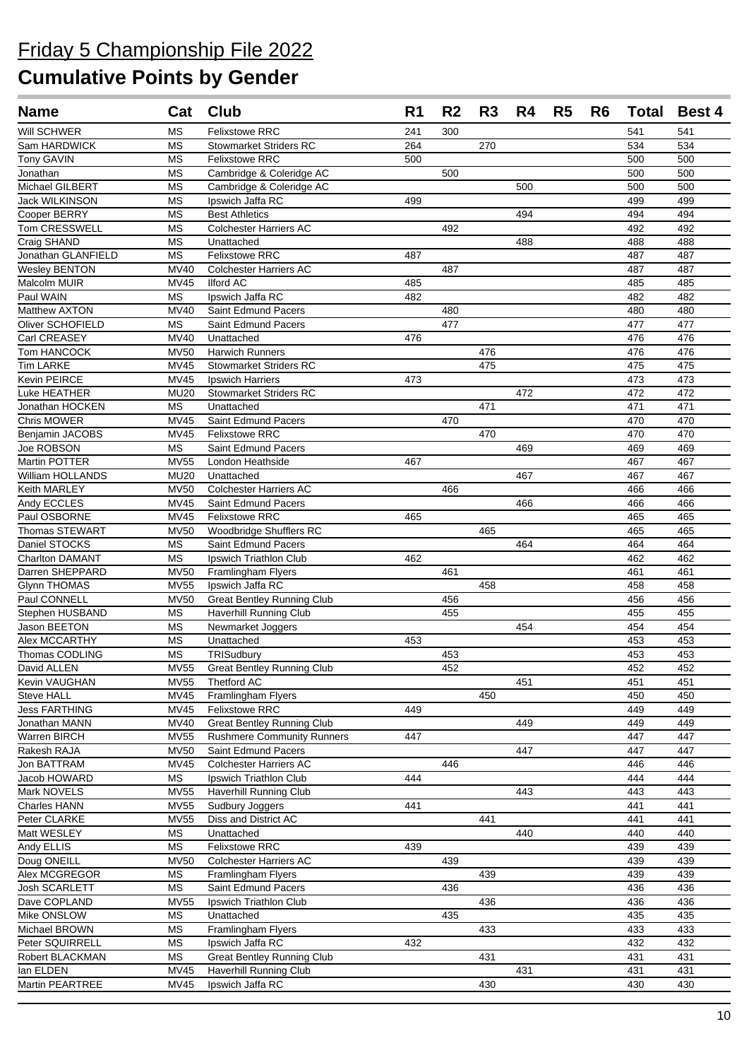| <b>Name</b>                        |                     | Cat Club                                          | R <sub>1</sub> | R <sub>2</sub> | R3  | R4  | R <sub>5</sub> | R <sub>6</sub> | <b>Total</b> | <b>Best 4</b> |
|------------------------------------|---------------------|---------------------------------------------------|----------------|----------------|-----|-----|----------------|----------------|--------------|---------------|
| Will SCHWER                        | <b>MS</b>           | <b>Felixstowe RRC</b>                             | 241            | 300            |     |     |                |                | 541          | 541           |
| Sam HARDWICK                       | <b>MS</b>           | <b>Stowmarket Striders RC</b>                     | 264            |                | 270 |     |                |                | 534          | 534           |
| Tony GAVIN                         | МS                  | <b>Felixstowe RRC</b>                             | 500            |                |     |     |                |                | 500          | 500           |
| Jonathan                           | <b>MS</b>           | Cambridge & Coleridge AC                          |                | 500            |     |     |                |                | 500          | 500           |
| Michael GILBERT                    | <b>MS</b>           | Cambridge & Coleridge AC                          |                |                |     | 500 |                |                | 500          | 500           |
| Jack WILKINSON                     | <b>MS</b>           | Ipswich Jaffa RC                                  | 499            |                |     |     |                |                | 499          | 499           |
| Cooper BERRY                       | <b>MS</b>           | <b>Best Athletics</b>                             |                |                |     | 494 |                |                | 494          | 494           |
| Tom CRESSWELL                      | <b>MS</b>           | <b>Colchester Harriers AC</b>                     |                | 492            |     |     |                |                | 492          | 492           |
| Craig SHAND                        | <b>MS</b>           | Unattached                                        |                |                |     | 488 |                |                | 488          | 488           |
| Jonathan GLANFIELD                 | <b>MS</b>           | Felixstowe RRC                                    | 487            |                |     |     |                |                | 487          | 487           |
| <b>Wesley BENTON</b>               | <b>MV40</b>         | <b>Colchester Harriers AC</b>                     |                | 487            |     |     |                |                | 487          | 487           |
| Malcolm MUIR                       | <b>MV45</b>         | <b>Ilford AC</b>                                  | 485            |                |     |     |                |                | 485          | 485           |
| Paul WAIN                          | <b>MS</b>           | Ipswich Jaffa RC                                  | 482            |                |     |     |                |                | 482          | 482           |
| Matthew AXTON                      | <b>MV40</b>         | Saint Edmund Pacers                               |                | 480            |     |     |                |                | 480          | 480           |
| Oliver SCHOFIELD                   | <b>MS</b>           | Saint Edmund Pacers                               |                | 477            |     |     |                |                | 477          | 477           |
| Carl CREASEY                       | <b>MV40</b>         | Unattached<br><b>Harwich Runners</b>              | 476            |                |     |     |                |                | 476          | 476           |
| Tom HANCOCK                        | <b>MV50</b>         |                                                   |                |                | 476 |     |                |                | 476          | 476           |
| <b>Tim LARKE</b><br>Kevin PEIRCE   | <b>MV45</b><br>MV45 | <b>Stowmarket Striders RC</b><br>Ipswich Harriers | 473            |                | 475 |     |                |                | 475<br>473   | 475<br>473    |
| Luke HEATHER                       | <b>MU20</b>         | Stowmarket Striders RC                            |                |                |     | 472 |                |                | 472          | 472           |
| Jonathan HOCKEN                    | MS                  | Unattached                                        |                |                | 471 |     |                |                | 471          | 471           |
| Chris MOWER                        | <b>MV45</b>         | Saint Edmund Pacers                               |                | 470            |     |     |                |                | 470          | 470           |
| Benjamin JACOBS                    | <b>MV45</b>         | <b>Felixstowe RRC</b>                             |                |                | 470 |     |                |                | 470          | 470           |
| Joe ROBSON                         | <b>MS</b>           | Saint Edmund Pacers                               |                |                |     | 469 |                |                | 469          | 469           |
| Martin POTTER                      | <b>MV55</b>         | London Heathside                                  | 467            |                |     |     |                |                | 467          | 467           |
| William HOLLANDS                   | <b>MU20</b>         | Unattached                                        |                |                |     | 467 |                |                | 467          | 467           |
| Keith MARLEY                       | <b>MV50</b>         | <b>Colchester Harriers AC</b>                     |                | 466            |     |     |                |                | 466          | 466           |
| Andy ECCLES                        | <b>MV45</b>         | Saint Edmund Pacers                               |                |                |     | 466 |                |                | 466          | 466           |
| Paul OSBORNE                       | <b>MV45</b>         | <b>Felixstowe RRC</b>                             | 465            |                |     |     |                |                | 465          | 465           |
| Thomas STEWART                     | MV50                | Woodbridge Shufflers RC                           |                |                | 465 |     |                |                | 465          | 465           |
| Daniel STOCKS                      | MS                  | Saint Edmund Pacers                               |                |                |     | 464 |                |                | 464          | 464           |
| Charlton DAMANT                    | <b>MS</b>           | Ipswich Triathlon Club                            | 462            |                |     |     |                |                | 462          | 462           |
| Darren SHEPPARD                    | <b>MV50</b>         | Framlingham Flyers                                |                | 461            |     |     |                |                | 461          | 461           |
| <b>Glynn THOMAS</b>                | <b>MV55</b>         | Ipswich Jaffa RC                                  |                |                | 458 |     |                |                | 458          | 458           |
| Paul CONNELL                       | <b>MV50</b>         | <b>Great Bentley Running Club</b>                 |                | 456            |     |     |                |                | 456          | 456           |
| Stephen HUSBAND                    | <b>MS</b>           | Haverhill Running Club                            |                | 455            |     |     |                |                | 455          | 455           |
| Jason BEETON                       | МS                  | Newmarket Joggers                                 |                |                |     | 454 |                |                | 454          | 454           |
| Alex MCCARTHY                      | <b>MS</b>           | Unattached                                        | 453            |                |     |     |                |                | 453          | 453           |
| <b>Thomas CODLING</b>              | <b>MS</b>           | TRISudburv                                        |                | 453            |     |     |                |                | 453          | 453           |
| David ALLEN                        |                     | MV55 Great Bentley Running Club                   |                | 452            |     |     |                |                | 452          | 452           |
| Kevin VAUGHAN                      | <b>MV55</b>         | Thetford AC                                       |                |                |     | 451 |                |                | 451          | 451           |
| Steve HALL<br><b>Jess FARTHING</b> | <b>MV45</b><br>MV45 | Framlingham Flyers<br><b>Felixstowe RRC</b>       | 449            |                | 450 |     |                |                | 450<br>449   | 450<br>449    |
| Jonathan MANN                      | <b>MV40</b>         | <b>Great Bentley Running Club</b>                 |                |                |     | 449 |                |                | 449          | 449           |
| Warren BIRCH                       | <b>MV55</b>         | <b>Rushmere Community Runners</b>                 | 447            |                |     |     |                |                | 447          | 447           |
| Rakesh RAJA                        | <b>MV50</b>         | Saint Edmund Pacers                               |                |                |     | 447 |                |                | 447          | 447           |
| Jon BATTRAM                        | MV45                | <b>Colchester Harriers AC</b>                     |                | 446            |     |     |                |                | 446          | 446           |
| Jacob HOWARD                       | MS                  | Ipswich Triathlon Club                            | 444            |                |     |     |                |                | 444          | 444           |
| Mark NOVELS                        | <b>MV55</b>         | Haverhill Running Club                            |                |                |     | 443 |                |                | 443          | 443           |
| Charles HANN                       | <b>MV55</b>         | Sudbury Joggers                                   | 441            |                |     |     |                |                | 441          | 441           |
| Peter CLARKE                       | <b>MV55</b>         | Diss and District AC                              |                |                | 441 |     |                |                | 441          | 441           |
| Matt WESLEY                        | <b>MS</b>           | Unattached                                        |                |                |     | 440 |                |                | 440          | 440           |
| Andy ELLIS                         | MS                  | Felixstowe RRC                                    | 439            |                |     |     |                |                | 439          | 439           |
| Doug ONEILL                        | <b>MV50</b>         | <b>Colchester Harriers AC</b>                     |                | 439            |     |     |                |                | 439          | 439           |
| Alex MCGREGOR                      | MS                  | Framlingham Flyers                                |                |                | 439 |     |                |                | 439          | 439           |
| Josh SCARLETT                      | MS                  | Saint Edmund Pacers                               |                | 436            |     |     |                |                | 436          | 436           |
| Dave COPLAND                       | <b>MV55</b>         | Ipswich Triathlon Club                            |                |                | 436 |     |                |                | 436          | 436           |
| Mike ONSLOW                        | MS                  | Unattached                                        |                | 435            |     |     |                |                | 435          | 435           |
| Michael BROWN                      | <b>MS</b>           | Framlingham Flyers                                |                |                | 433 |     |                |                | 433          | 433           |
| Peter SQUIRRELL                    | MS                  | Ipswich Jaffa RC                                  | 432            |                |     |     |                |                | 432          | 432           |
| Robert BLACKMAN                    | MS                  | <b>Great Bentley Running Club</b>                 |                |                | 431 |     |                |                | 431          | 431           |
| lan ELDEN                          | <b>MV45</b>         | <b>Haverhill Running Club</b>                     |                |                |     | 431 |                |                | 431          | 431           |
| Martin PEARTREE                    | MV45                | Ipswich Jaffa RC                                  |                |                | 430 |     |                |                | 430          | 430           |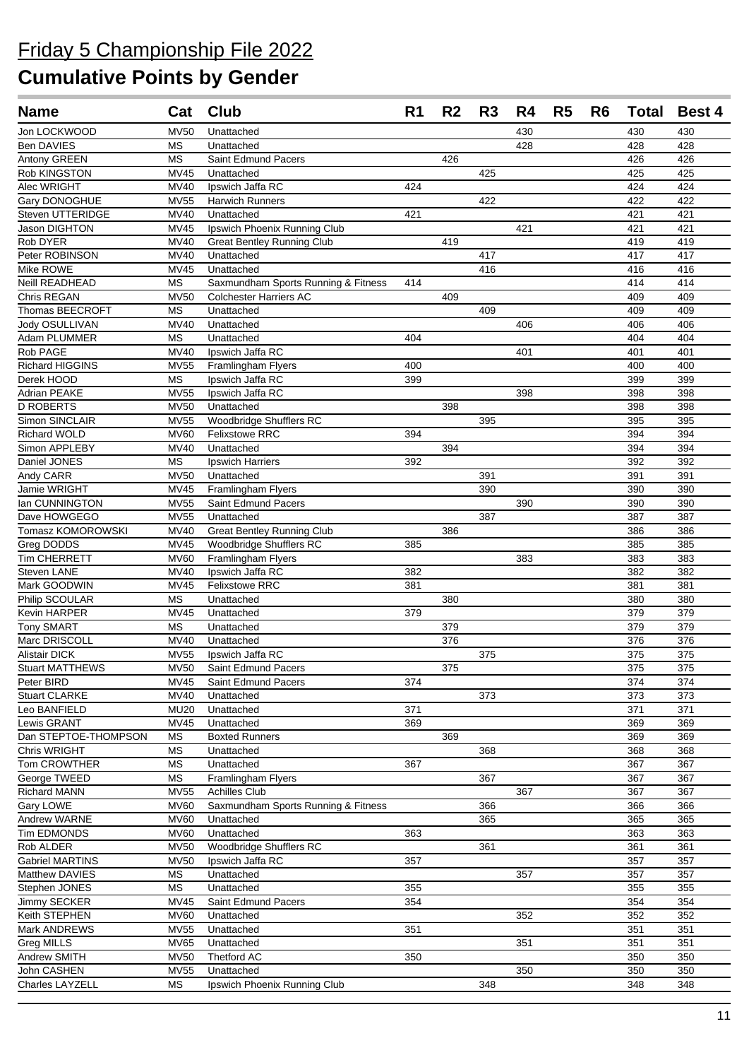| <b>Name</b>                         | Cat                      | <b>Club</b>                            | R <sub>1</sub> | R <sub>2</sub>   | R <sub>3</sub> | R4  | R <sub>5</sub> | R <sub>6</sub> |                  | <b>Total Best 4</b> |
|-------------------------------------|--------------------------|----------------------------------------|----------------|------------------|----------------|-----|----------------|----------------|------------------|---------------------|
| Jon LOCKWOOD                        | <b>MV50</b>              | Unattached                             |                |                  |                | 430 |                |                | 430              | 430                 |
| <b>Ben DAVIES</b>                   | <b>MS</b>                | Unattached                             |                |                  |                | 428 |                |                | 428              | 428                 |
| Antony GREEN                        | МS                       | Saint Edmund Pacers                    |                | 426              |                |     |                |                | 426              | 426                 |
| Rob KINGSTON                        | MV45                     | Unattached                             |                |                  | 425            |     |                |                | 425              | 425                 |
| Alec WRIGHT                         | <b>MV40</b>              | Ipswich Jaffa RC                       | 424            |                  |                |     |                |                | 424              | 424                 |
| Gary DONOGHUE                       | <b>MV55</b>              | <b>Harwich Runners</b>                 |                |                  | 422            |     |                |                | 422              | 422                 |
| Steven UTTERIDGE                    | MV40                     | Unattached                             | 421            |                  |                |     |                |                | 421              | 421                 |
| Jason DIGHTON                       | <b>MV45</b>              | Ipswich Phoenix Running Club           |                |                  |                | 421 |                |                | 421              | 421                 |
| Rob DYER                            | MV40                     | <b>Great Bentley Running Club</b>      |                | 419              |                |     |                |                | 419              | 419                 |
| Peter ROBINSON                      | MV40                     | Unattached                             |                |                  | 417            |     |                |                | 417              | 417                 |
| Mike ROWE                           | <b>MV45</b>              | Unattached                             |                |                  | 416            |     |                |                | 416              | 416                 |
| Neill READHEAD                      | <b>MS</b>                | Saxmundham Sports Running & Fitness    | 414            |                  |                |     |                |                | 414              | 414                 |
| Chris REGAN                         | <b>MV50</b>              | <b>Colchester Harriers AC</b>          |                | 409              |                |     |                |                | 409              | 409                 |
| Thomas BEECROFT                     | <b>MS</b>                | Unattached                             |                |                  | 409            |     |                |                | 409              | 409                 |
| Jody OSULLIVAN                      | MV40                     | Unattached                             |                |                  |                | 406 |                |                | 406              | 406                 |
| Adam PLUMMER<br>Rob PAGE            | <b>MS</b>                | Unattached                             | 404            |                  |                |     |                |                | 404              | 404                 |
|                                     | <b>MV40</b>              | Ipswich Jaffa RC                       |                |                  |                | 401 |                |                | 401              | 401                 |
| Richard HIGGINS<br>Derek HOOD       | <b>MV55</b><br><b>MS</b> | Framlingham Flyers<br>Ipswich Jaffa RC | 400<br>399     |                  |                |     |                |                | 400<br>399       | 400<br>399          |
| Adrian PEAKE                        | <b>MV55</b>              | Ipswich Jaffa RC                       |                |                  |                | 398 |                |                | 398              | 398                 |
| <b>D ROBERTS</b>                    | <b>MV50</b>              | Unattached                             |                | 398              |                |     |                |                | 398              | 398                 |
| Simon SINCLAIR                      | <b>MV55</b>              | Woodbridge Shufflers RC                |                |                  | 395            |     |                |                | 395              | 395                 |
| <b>Richard WOLD</b>                 | <b>MV60</b>              | <b>Felixstowe RRC</b>                  | 394            |                  |                |     |                |                | 394              | 394                 |
| Simon APPLEBY                       | <b>MV40</b>              | Unattached                             |                | 394              |                |     |                |                | 394              | 394                 |
| Daniel JONES                        | <b>MS</b>                | <b>Ipswich Harriers</b>                | 392            |                  |                |     |                |                | 392              | 392                 |
| Andy CARR                           | <b>MV50</b>              | Unattached                             |                |                  | 391            |     |                |                | 391              | 391                 |
| Jamie WRIGHT                        | <b>MV45</b>              | Framlingham Flyers                     |                |                  | 390            |     |                |                | 390              | 390                 |
| Ian CUNNINGTON                      | <b>MV55</b>              | Saint Edmund Pacers                    |                |                  |                | 390 |                |                | 390              | 390                 |
| Dave HOWGEGO                        | <b>MV55</b>              | Unattached                             |                |                  | 387            |     |                |                | 387              | 387                 |
| Tomasz KOMOROWSKI                   | <b>MV40</b>              | <b>Great Bentley Running Club</b>      |                | 386              |                |     |                |                | 386              | 386                 |
| Greg DODDS                          | <b>MV45</b>              | Woodbridge Shufflers RC                | 385            |                  |                |     |                |                | 385              | 385                 |
| <b>Tim CHERRETT</b>                 | <b>MV60</b>              | Framlingham Flyers                     |                |                  |                | 383 |                |                | 383              | 383                 |
| Steven LANE                         | <b>MV40</b>              | Ipswich Jaffa RC                       | 382            |                  |                |     |                |                | 382              | 382                 |
| Mark GOODWIN                        | <b>MV45</b>              | <b>Felixstowe RRC</b>                  | 381            |                  |                |     |                |                | 381              | 381                 |
| Philip SCOULAR                      | МS                       | Unattached                             |                | 380              |                |     |                |                | 380              | 380                 |
| Kevin HARPER                        | MV45                     | Unattached                             | 379            |                  |                |     |                |                | 379              | 379                 |
| <b>Tony SMART</b>                   | <b>MS</b>                | Unattached                             |                | 379              |                |     |                |                | 379              | 379                 |
| Marc DRISCOLL                       | MV40                     | Unattached                             |                | 376              |                |     |                |                | 376              | 376                 |
| <b>Alistair DICK</b>                | <b>MV55</b>              | Ipswich Jaffa RC                       |                |                  | 375            |     |                |                | 375              | 375                 |
| Stuart MATTHEWS                     | <b>MV50</b>              | Saint Edmund Pacers                    |                | $\overline{375}$ |                |     |                |                | $\overline{375}$ | $\overline{375}$    |
| Peter BIRD                          | <b>MV45</b>              | Saint Edmund Pacers                    | 374            |                  |                |     |                |                | 374              | 374                 |
| <b>Stuart CLARKE</b>                | MV40                     | Unattached                             |                |                  | 373            |     |                |                | 373              | 373                 |
| Leo BANFIELD                        | <b>MU20</b>              | Unattached                             | 371            |                  |                |     |                |                | 371              | 371                 |
| Lewis GRANT<br>Dan STEPTOE-THOMPSON | <b>MV45</b><br><b>MS</b> | Unattached<br><b>Boxted Runners</b>    | 369            | 369              |                |     |                |                | 369<br>369       | 369<br>369          |
| Chris WRIGHT                        | <b>MS</b>                | Unattached                             |                |                  | 368            |     |                |                | 368              | 368                 |
| Tom CROWTHER                        | $\mathsf{MS}\xspace$     | Unattached                             | 367            |                  |                |     |                |                | 367              | 367                 |
| George TWEED                        | <b>MS</b>                | Framlingham Flyers                     |                |                  | 367            |     |                |                | 367              | 367                 |
| <b>Richard MANN</b>                 | <b>MV55</b>              | <b>Achilles Club</b>                   |                |                  |                | 367 |                |                | 367              | 367                 |
| Gary LOWE                           | <b>MV60</b>              | Saxmundham Sports Running & Fitness    |                |                  | 366            |     |                |                | 366              | 366                 |
| Andrew WARNE                        | <b>MV60</b>              | Unattached                             |                |                  | 365            |     |                |                | 365              | 365                 |
| Tim EDMONDS                         | <b>MV60</b>              | Unattached                             | 363            |                  |                |     |                |                | 363              | 363                 |
| Rob ALDER                           | <b>MV50</b>              | Woodbridge Shufflers RC                |                |                  | 361            |     |                |                | 361              | 361                 |
| <b>Gabriel MARTINS</b>              | <b>MV50</b>              | Ipswich Jaffa RC                       | 357            |                  |                |     |                |                | 357              | 357                 |
| Matthew DAVIES                      | <b>MS</b>                | Unattached                             |                |                  |                | 357 |                |                | 357              | 357                 |
| Stephen JONES                       | <b>MS</b>                | Unattached                             | 355            |                  |                |     |                |                | 355              | 355                 |
| Jimmy SECKER                        | <b>MV45</b>              | Saint Edmund Pacers                    | 354            |                  |                |     |                |                | 354              | 354                 |
| Keith STEPHEN                       | <b>MV60</b>              | Unattached                             |                |                  |                | 352 |                |                | 352              | 352                 |
| Mark ANDREWS                        | <b>MV55</b>              | Unattached                             | 351            |                  |                |     |                |                | 351              | 351                 |
| Greg MILLS                          | <b>MV65</b>              | Unattached                             |                |                  |                | 351 |                |                | 351              | 351                 |
| Andrew SMITH                        | <b>MV50</b>              | Thetford AC                            | 350            |                  |                |     |                |                | 350              | 350                 |
| John CASHEN                         | <b>MV55</b>              | Unattached                             |                |                  |                | 350 |                |                | 350              | 350                 |
| Charles LAYZELL                     | МS                       | Ipswich Phoenix Running Club           |                |                  | 348            |     |                |                | 348              | 348                 |
|                                     |                          |                                        |                |                  |                |     |                |                |                  |                     |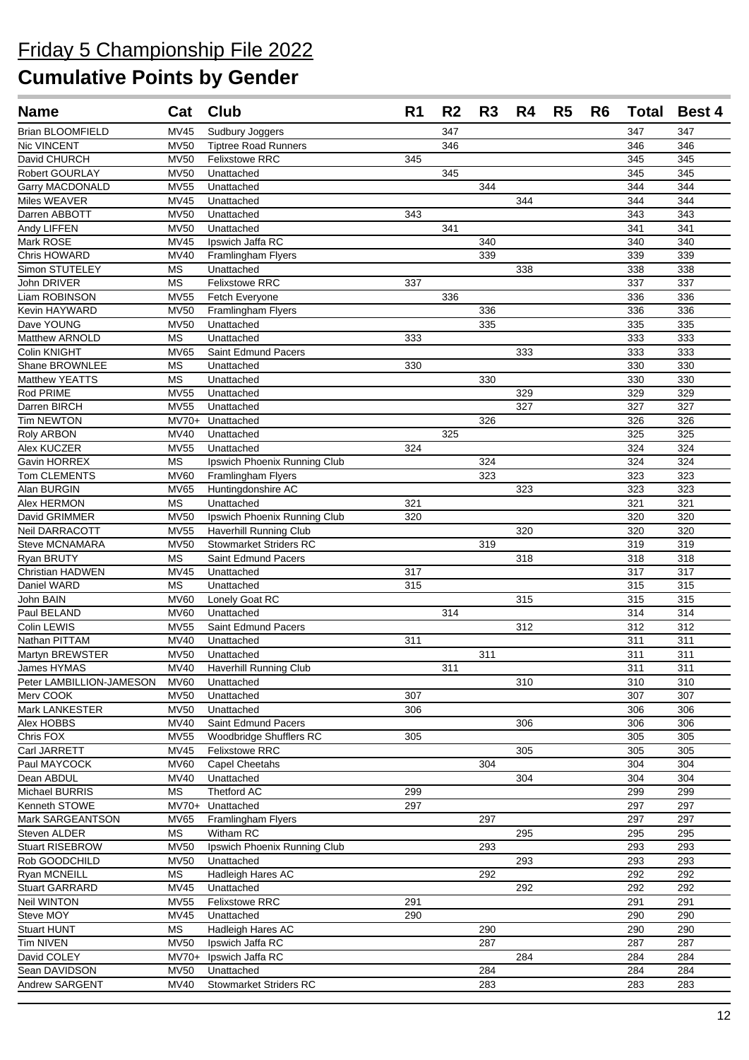| <b>Name</b>                 | Cat                        | <b>Club</b>                                     | R <sub>1</sub> | R <sub>2</sub>   | R3  | R4  | R <sub>5</sub> | R6 | <b>Total</b> | <b>Best 4</b> |
|-----------------------------|----------------------------|-------------------------------------------------|----------------|------------------|-----|-----|----------------|----|--------------|---------------|
| <b>Brian BLOOMFIELD</b>     | <b>MV45</b>                | Sudbury Joggers                                 |                | 347              |     |     |                |    | 347          | 347           |
| Nic VINCENT                 | <b>MV50</b>                | <b>Tiptree Road Runners</b>                     |                | 346              |     |     |                |    | 346          | 346           |
| David CHURCH                | <b>MV50</b>                | <b>Felixstowe RRC</b>                           | 345            |                  |     |     |                |    | 345          | 345           |
| Robert GOURLAY              | <b>MV50</b>                | Unattached                                      |                | 345              |     |     |                |    | 345          | 345           |
| <b>Garry MACDONALD</b>      | <b>MV55</b>                | Unattached                                      |                |                  | 344 |     |                |    | 344          | 344           |
| Miles WEAVER                | <b>MV45</b>                | Unattached                                      |                |                  |     | 344 |                |    | 344          | 344           |
| Darren ABBOTT               | <b>MV50</b>                | Unattached                                      | 343            |                  |     |     |                |    | 343          | 343           |
| Andy LIFFEN                 | <b>MV50</b>                | Unattached                                      |                | 341              |     |     |                |    | 341          | 341           |
| Mark ROSE                   | <b>MV45</b>                | Ipswich Jaffa RC                                |                |                  | 340 |     |                |    | 340          | 340           |
| Chris HOWARD                | <b>MV40</b>                | Framlingham Flyers                              |                |                  | 339 |     |                |    | 339          | 339           |
| Simon STUTELEY              | <b>MS</b>                  | Unattached                                      |                |                  |     | 338 |                |    | 338          | 338           |
| John DRIVER                 | <b>MS</b>                  | <b>Felixstowe RRC</b>                           | 337            |                  |     |     |                |    | 337          | 337           |
| Liam ROBINSON               | <b>MV55</b>                | Fetch Everyone                                  |                | 336              |     |     |                |    | 336          | 336           |
| Kevin HAYWARD               | <b>MV50</b>                | Framlingham Flyers                              |                |                  | 336 |     |                |    | 336          | 336           |
| Dave YOUNG                  | <b>MV50</b>                | Unattached                                      |                |                  | 335 |     |                |    | 335          | 335           |
| Matthew ARNOLD              | <b>MS</b>                  | Unattached                                      | 333            |                  |     |     |                |    | 333          | 333           |
| Colin KNIGHT                | <b>MV65</b>                | Saint Edmund Pacers                             |                |                  |     | 333 |                |    | 333          | 333           |
| Shane BROWNLEE              | <b>MS</b>                  | Unattached                                      | 330            |                  |     |     |                |    | 330          | 330           |
| Matthew YEATTS              | <b>MS</b>                  | Unattached                                      |                |                  | 330 |     |                |    | 330          | 330           |
| Rod PRIME                   | <b>MV55</b>                | Unattached                                      |                |                  |     | 329 |                |    | 329          | 329           |
| Darren BIRCH                | <b>MV55</b>                | Unattached                                      |                |                  |     | 327 |                |    | 327          | 327           |
| <b>Tim NEWTON</b>           | $MV70+$                    | Unattached                                      |                |                  | 326 |     |                |    | 326          | 326           |
| Roly ARBON<br>Alex KUCZER   | <b>MV40</b><br><b>MV55</b> | Unattached                                      | 324            | 325              |     |     |                |    | 325          | 325<br>324    |
| Gavin HORREX                | <b>MS</b>                  | Unattached                                      |                |                  | 324 |     |                |    | 324<br>324   | 324           |
|                             |                            | Ipswich Phoenix Running Club                    |                |                  | 323 |     |                |    |              |               |
| Tom CLEMENTS<br>Alan BURGIN | <b>MV60</b><br><b>MV65</b> | <b>Framlingham Flyers</b><br>Huntingdonshire AC |                |                  |     | 323 |                |    | 323<br>323   | 323<br>323    |
| Alex HERMON                 | <b>MS</b>                  | Unattached                                      | 321            |                  |     |     |                |    | 321          | 321           |
| David GRIMMER               | <b>MV50</b>                | Ipswich Phoenix Running Club                    | 320            |                  |     |     |                |    | 320          | 320           |
| Neil DARRACOTT              | <b>MV55</b>                | Haverhill Running Club                          |                |                  |     | 320 |                |    | 320          | 320           |
| <b>Steve MCNAMARA</b>       | <b>MV50</b>                | <b>Stowmarket Striders RC</b>                   |                |                  | 319 |     |                |    | 319          | 319           |
| Ryan BRUTY                  | <b>MS</b>                  | Saint Edmund Pacers                             |                |                  |     | 318 |                |    | 318          | 318           |
| Christian HADWEN            | MV45                       | Unattached                                      | 317            |                  |     |     |                |    | 317          | 317           |
| Daniel WARD                 | <b>MS</b>                  | Unattached                                      | 315            |                  |     |     |                |    | 315          | 315           |
| John BAIN                   | <b>MV60</b>                | Lonely Goat RC                                  |                |                  |     | 315 |                |    | 315          | 315           |
| Paul BELAND                 | <b>MV60</b>                | Unattached                                      |                | 314              |     |     |                |    | 314          | 314           |
| Colin LEWIS                 | <b>MV55</b>                | Saint Edmund Pacers                             |                |                  |     | 312 |                |    | 312          | 312           |
| Nathan PITTAM               | <b>MV40</b>                | Unattached                                      | 311            |                  |     |     |                |    | 311          | 311           |
| Martyn BREWSTER             | <b>MV50</b>                | Unattached                                      |                |                  | 311 |     |                |    | 311          | 311           |
| James HYMAS                 | <b>MV40</b>                | Haverhill Running Club                          |                | $\overline{311}$ |     |     |                |    | 311          | 311           |
| Peter LAMBILLION-JAMESON    | MV60                       | Unattached                                      |                |                  |     | 310 |                |    | 310          | 310           |
| Merv COOK                   | <b>MV50</b>                | Unattached                                      | 307            |                  |     |     |                |    | 307          | 307           |
| Mark LANKESTER              | MV50                       | Unattached                                      | 306            |                  |     |     |                |    | 306          | 306           |
| Alex HOBBS                  | MV40                       | Saint Edmund Pacers                             |                |                  |     | 306 |                |    | 306          | 306           |
| Chris FOX                   | <b>MV55</b>                | Woodbridge Shufflers RC                         | 305            |                  |     |     |                |    | 305          | 305           |
| Carl JARRETT                | <b>MV45</b>                | Felixstowe RRC                                  |                |                  |     | 305 |                |    | 305          | 305           |
| Paul MAYCOCK                | <b>MV60</b>                | Capel Cheetahs                                  |                |                  | 304 |     |                |    | 304          | 304           |
| Dean ABDUL                  | MV40                       | Unattached                                      |                |                  |     | 304 |                |    | 304          | 304           |
| Michael BURRIS              | МS                         | Thetford AC                                     | 299            |                  |     |     |                |    | 299          | 299           |
| Kenneth STOWE               | $MV70+$                    | Unattached                                      | 297            |                  |     |     |                |    | 297          | 297           |
| Mark SARGEANTSON            | <b>MV65</b>                | Framlingham Flyers                              |                |                  | 297 |     |                |    | 297          | 297           |
| Steven ALDER                | MS                         | Witham RC                                       |                |                  |     | 295 |                |    | 295          | 295           |
| <b>Stuart RISEBROW</b>      | <b>MV50</b>                | Ipswich Phoenix Running Club                    |                |                  | 293 |     |                |    | 293          | 293           |
| Rob GOODCHILD               | <b>MV50</b>                | Unattached                                      |                |                  |     | 293 |                |    | 293          | 293           |
| Ryan MCNEILL                | $\overline{\text{MS}}$     | Hadleigh Hares AC                               |                |                  | 292 |     |                |    | 292          | 292           |
| <b>Stuart GARRARD</b>       | MV45                       | Unattached                                      |                |                  |     | 292 |                |    | 292          | 292           |
| <b>Neil WINTON</b>          | <b>MV55</b>                | <b>Felixstowe RRC</b>                           | 291            |                  |     |     |                |    | 291          | 291           |
| Steve MOY                   | MV45                       | Unattached                                      | 290            |                  |     |     |                |    | 290          | 290           |
| Stuart HUNT                 | MS                         | <b>Hadleigh Hares AC</b>                        |                |                  | 290 |     |                |    | 290          | 290           |
| Tim NIVEN                   | <b>MV50</b>                | Ipswich Jaffa RC                                |                |                  | 287 |     |                |    | 287          | 287           |
| David COLEY                 | $MV70+$                    | Ipswich Jaffa RC                                |                |                  |     | 284 |                |    | 284          | 284           |
| Sean DAVIDSON               | <b>MV50</b>                | Unattached                                      |                |                  | 284 |     |                |    | 284          | 284           |
| Andrew SARGENT              | MV40                       | <b>Stowmarket Striders RC</b>                   |                |                  | 283 |     |                |    | 283          | 283           |